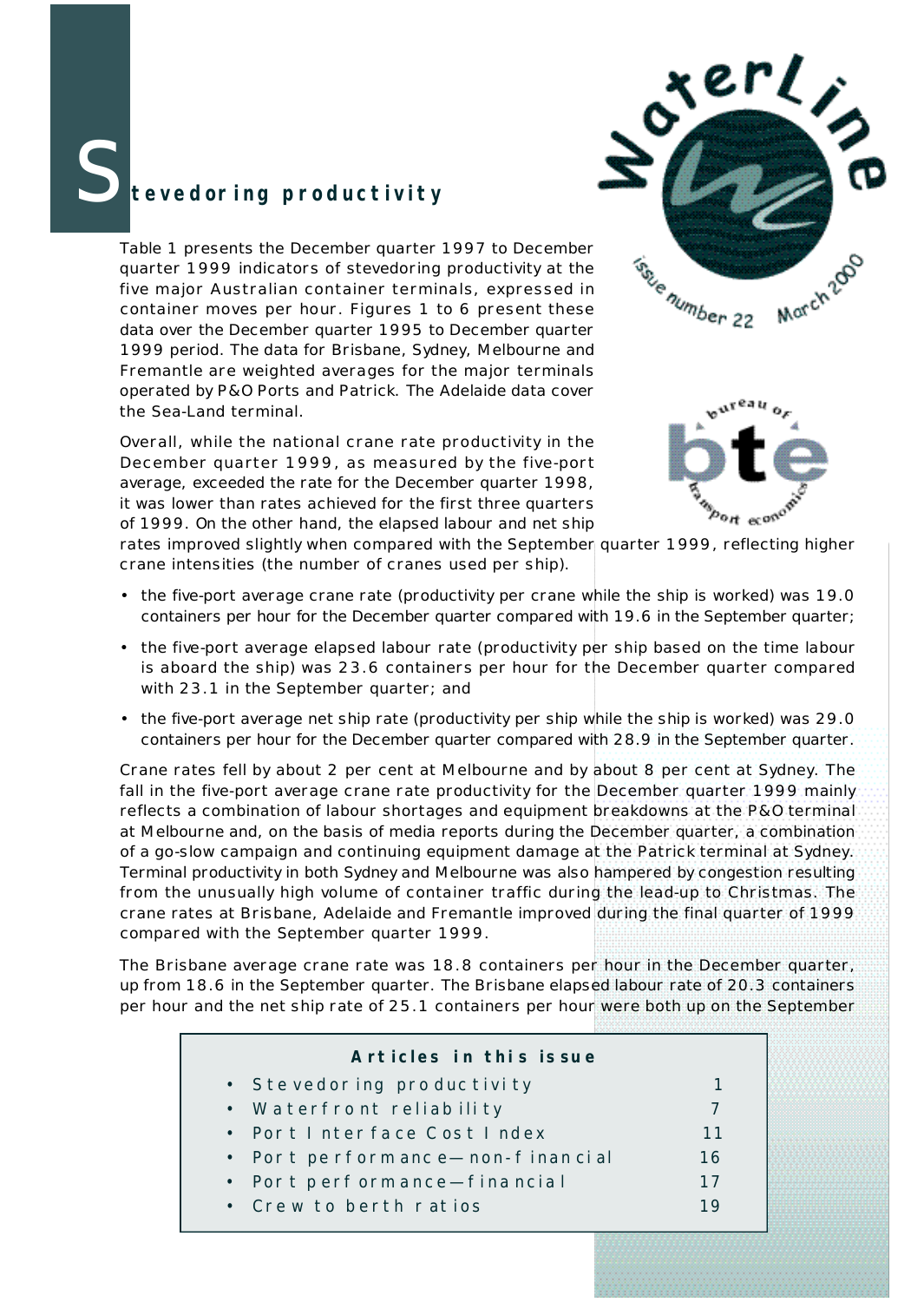# s**<sup>t</sup> <sup>e</sup> <sup>v</sup> <sup>e</sup> <sup>d</sup> or <sup>i</sup> <sup>n</sup> g p <sup>r</sup> <sup>o</sup> <sup>d</sup> <sup>u</sup> <sup>c</sup> <sup>t</sup> <sup>i</sup> <sup>v</sup> <sup>i</sup> <sup>t</sup> <sup>y</sup>**

Table 1 presents the December quarter 1997 to December quarter 1999 indicators of stevedoring productivity at the five major Australian container terminals, expressed in *container moves per hour.* Figures 1 to 6 present these data over the December quarter 1995 to December quarter 1999 period. The data for Brisbane, Sydney, Melbourne and Fremantle are weighted averages for the major terminals operated by P&O Ports and Patrick. The Adelaide data cover the Sea-Land terminal.

Overall, while the national crane rate productivity in the December quarter 1999, as measured by the five-port average, exceeded the rate for the December quarter 1998, it was lower than rates achieved for the first three quarters of 1999. On the other hand, the elapsed labour and net ship



sevenumber 22

rates improved slightly when compared with the September quarter 1999, reflecting higher crane in tensities (the number of cranes used per ship).

- the five-port average *crane rate* (productivity *per crane* while the ship is worked) was 19.0 containers per hour for the December quarter compared with 19.6 in the September quarter;
- the five-port average *elapsed labour rate* (productivity *per ship* based on the time labour is aboard the ship) was 23.6 containers per hour for the December quarter compared with 23.1 in the September quarter; and
- the five-port average *net ship rate* (productivity *per ship* while the ship is worked) was 29.0 containers per hour for the December quarter compared with 28.9 in the September quarter.

Crane rates fell by about 2 per cent at Melbourne and by about 8 per cent at Sydney. The fall in the five-port average crane rate productivity for the December quarter 1999 mainly reflects a combination of labour shortages and equipment breakdowns at the P&O terminal at Melbourne and, on the basis of media reports during the December quarter, a combination of a go-slow campaign and continuing equipment damage at the Patrick terminal at Sydney. Terminal productivity in both Sydney and Melbourne was also hampered by congestion resulting from the unusually high volume of container traffic during the lead-up to Christmas. The crane rates at Brisbane, Adelaide and Fremantle improved during the final quarter of 1999 compared with the September quarter 1999.

The *Brisbane* average crane rate was 18.8 containers per hour in the December quarter, up from 18.6 in the September quarter. The Brisbane elapsed labour rate of 20.3 containers per hour and the net ship rate of 25.1 containers per hour were both up on the September

| Articles in this is sue            |     |
|------------------------------------|-----|
| • Stevedoring productivity         |     |
| • Waterfront reliability           |     |
| • Port Interface Cost Index        | 11  |
| • Port perform anc e-non-financial | 16  |
| • Port perform ance-financial      | 17  |
| • Crew to berth ratios             | 1 9 |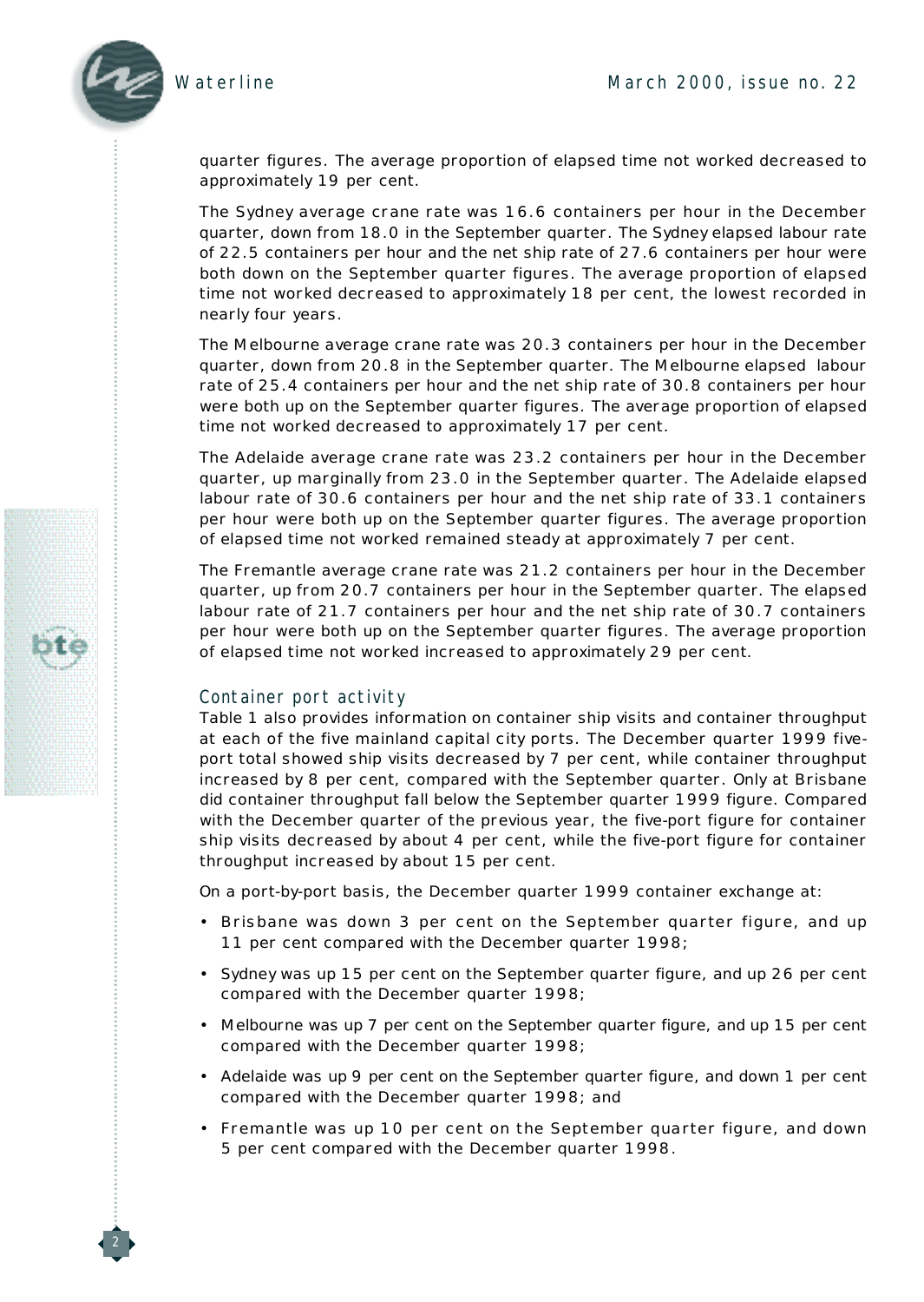

2

quarter figures. The average propor tion of elapsed time not worked decreased to approximately 19 per cent.

The *Sydney* average crane rate was 16.6 containers per hour in the December quarter, down from 18.0 in the September quarter. The Sydney elapsed labour rate of 22.5 containers per hour and the net ship rate of 27.6 containers per hour were both down on the September quarter figures. The average proportion of elapsed time not worked decreased to approximately 18 per cent, the lowest recorded in nearly four years.

The *Melbourne* average crane rate was 20.3 containers per hour in the December quarter, down from 20.8 in the September quarter. The Melbourne elapsed labour rate of 25.4 containers per hour and the net ship rate of 30.8 containers per hour were both up on the September quarter figures. The average proportion of elapsed time not worked decreased to approximately 17 per cent.

The *Adelaide* average crane rate was 23.2 containers per hour in the December quarter, up marginally from 23 .0 in the September quarter . The Adelaide elapsed labour rate of 30.6 containers per hour and the net ship rate of 33.1 containers per hour were both up on the September quarter figures. The average proportion of elapsed time not worked remained steady at approximately 7 per cent.

The *Fremantle* average crane rate was 21.2 containers per hour in the December quarter, up from 20.7 containers per hour in the September quarter. The elapsed labour rate of 21.7 containers per hour and the net ship rate of 30 .7 containers per hour were both up on the September quarter figures. The average proportion of elapsed time not worked increased to approximately 29 per cent.

#### Container port activity

Table 1 also provides information on container ship visits and container throughput at each of the five mainland capital city ports. The December quarter 1999 fiveport total showed ship visits decreased by 7 per cent, while container throughput increased by 8 per cent, compared with the September quarter. Only at Brisbane did container throughput fall below the September quarter 1999 figure. Compared with the December quarter of the previous year, the five-port figure for container ship visits decreased by about 4 per cent, while the five-port figure for container throughput increased by about 15 per cent.

On a port-by-port basis, the December quarter 1999 *container exchange* at:

- Brisbane was down 3 per cent on the September quarter figure, and up 11 per cent compared with the December quarter 1998;
- Sydney was up 15 per cent on the September quarter figure, and up 26 per cent compared with the December quarter 1998;
- Melbourne was up 7 per cent on the September quarter figure, and up 15 per cent compared with the December quarter 1998;
- Adelaide was up 9 per cent on the September quarter figure, and down 1 per cent compared with the December quarter 1998; and
- Fremantle was up 10 per cent on the September quarter figure, and down 5 per cent compared with the December quarter 1998.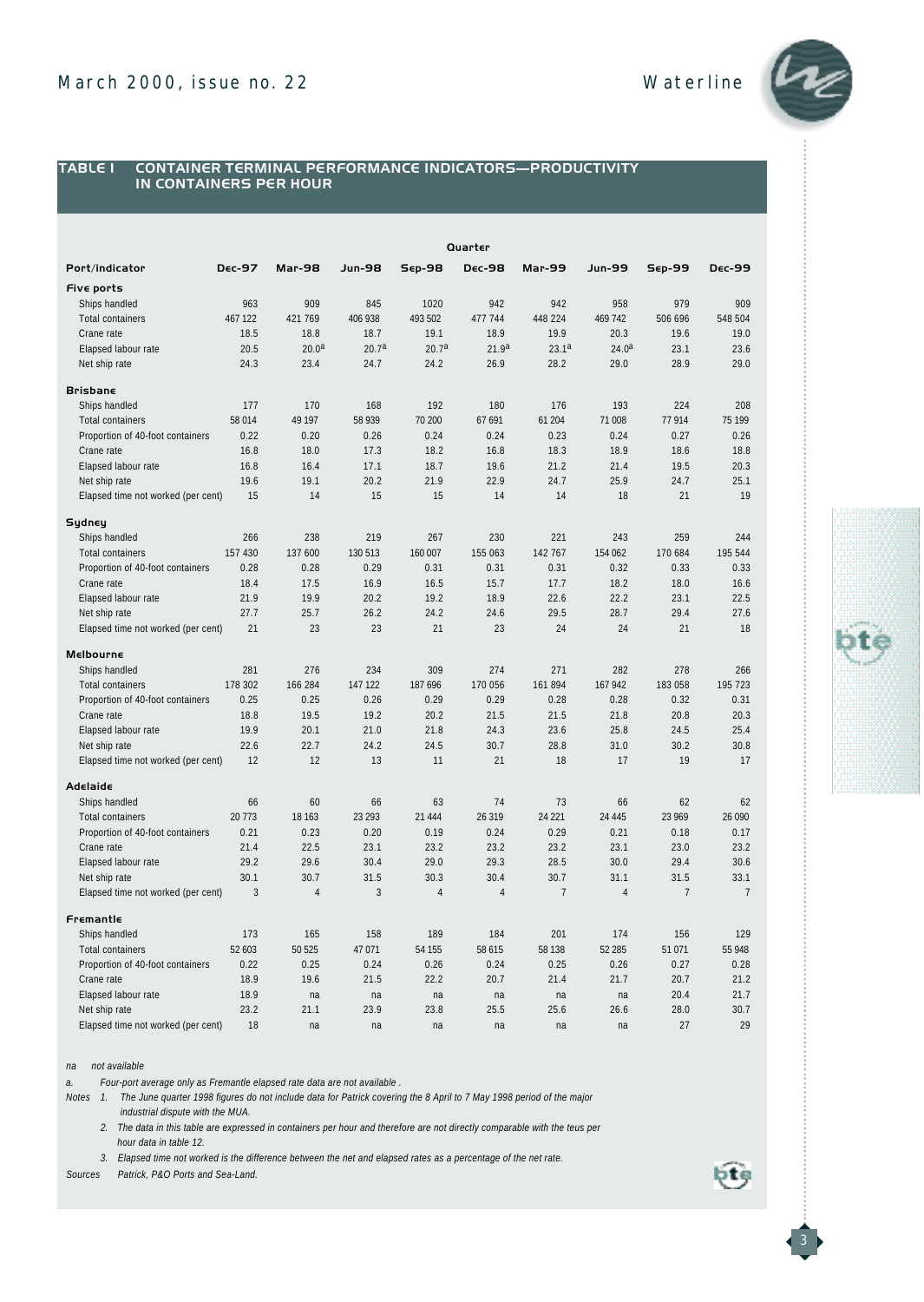

#### *TABLE 1 CONTAINER TERMINAL PERFORMANCE INDICATORS—PRODUCTIVITY IN CONTAINERS PER HOUR*

|                                    |               |                   |                   |                   | Quarter           |                   |                   |                |               |
|------------------------------------|---------------|-------------------|-------------------|-------------------|-------------------|-------------------|-------------------|----------------|---------------|
| Port/indicator                     | <b>Dec-97</b> | Mar-98            | <b>Jun-98</b>     | $Sep-98$          | <b>Dec-98</b>     | <b>Mar-99</b>     | Jun-99            | $Sep-99$       | <b>Dec-99</b> |
| Five ports                         |               |                   |                   |                   |                   |                   |                   |                |               |
| Ships handled                      | 963           | 909               | 845               | 1020              | 942               | 942               | 958               | 979            | 909           |
| <b>Total containers</b>            | 467 122       | 421 769           | 406 938           | 493 502           | 477 744           | 448 224           | 469 742           | 506 696        | 548 504       |
| Crane rate                         | 18.5          | 18.8              | 18.7              | 19.1              | 18.9              | 19.9              | 20.3              | 19.6           | 19.0          |
| Elapsed labour rate                | 20.5          | 20.0 <sup>a</sup> | 20.7 <sup>a</sup> | 20.7 <sup>a</sup> | 21.9 <sup>a</sup> | 23.1 <sup>a</sup> | 24.0 <sup>a</sup> | 23.1           | 23.6          |
| Net ship rate                      | 24.3          | 23.4              | 24.7              | 24.2              | 26.9              | 28.2              | 29.0              | 28.9           | 29.0          |
| <b>Brisbane</b>                    |               |                   |                   |                   |                   |                   |                   |                |               |
| Ships handled                      | 177           | 170               | 168               | 192               | 180               | 176               | 193               | 224            | 208           |
| Total containers                   | 58 014        | 49 197            | 58 939            | 70 200            | 67 691            | 61 204            | 71 008            | 77914          | 75 199        |
| Proportion of 40-foot containers   | 0.22          | 0.20              | 0.26              | 0.24              | 0.24              | 0.23              | 0.24              | 0.27           | 0.26          |
| Crane rate                         | 16.8          | 18.0              | 17.3              | 18.2              | 16.8              | 18.3              | 18.9              | 18.6           | 18.8          |
| Elapsed labour rate                | 16.8          | 16.4              | 17.1              | 18.7              | 19.6              | 21.2              | 21.4              | 19.5           | 20.3          |
| Net ship rate                      | 19.6          | 19.1              | 20.2              | 21.9              | 22.9              | 24.7              | 25.9              | 24.7           | 25.1          |
| Elapsed time not worked (per cent) | 15            | 14                | 15                | 15                | 14                | 14                | 18                | 21             | 19            |
| Sydney                             |               |                   |                   |                   |                   |                   |                   |                |               |
| Ships handled                      | 266           | 238               | 219               | 267               | 230               | 221               | 243               | 259            | 244           |
| Total containers                   | 157 430       | 137 600           | 130 513           | 160 007           | 155 063           | 142 767           | 154 062           | 170 684        | 195 544       |
| Proportion of 40-foot containers   | 0.28          | 0.28              | 0.29              | 0.31              | 0.31              | 0.31              | 0.32              | 0.33           | 0.33          |
| Crane rate                         | 18.4          | 17.5              | 16.9              | 16.5              | 15.7              | 17.7              | 18.2              | 18.0           | 16.6          |
| Elapsed labour rate                | 21.9          | 19.9              | 20.2              | 19.2              | 18.9              | 22.6              | 22.2              | 23.1           | 22.5          |
| Net ship rate                      | 27.7          | 25.7              | 26.2              | 24.2              | 24.6              | 29.5              | 28.7              | 29.4           | 27.6          |
| Elapsed time not worked (per cent) | 21            | 23                | 23                | 21                | 23                | 24                | 24                | 21             | 18            |
| Melbourne                          |               |                   |                   |                   |                   |                   |                   |                |               |
| Ships handled                      | 281           | 276               | 234               | 309               | 274               | 271               | 282               | 278            | 266           |
| <b>Total containers</b>            | 178 302       | 166 284           | 147 122           | 187 696           | 170 056           | 161 894           | 167 942           | 183 058        | 195 723       |
| Proportion of 40-foot containers   | 0.25          | 0.25              | 0.26              | 0.29              | 0.29              | 0.28              | 0.28              | 0.32           | 0.31          |
| Crane rate                         | 18.8          | 19.5              | 19.2              | 20.2              | 21.5              | 21.5              | 21.8              | 20.8           | 20.3          |
| Elapsed labour rate                | 19.9          | 20.1              | 21.0              | 21.8              | 24.3              | 23.6              | 25.8              | 24.5           | 25.4          |
| Net ship rate                      | 22.6          | 22.7              | 24.2              | 24.5              | 30.7              | 28.8              | 31.0              | 30.2           | 30.8          |
| Elapsed time not worked (per cent) | 12            | 12                | 13                | 11                | 21                | 18                | 17                | 19             | 17            |
| Adelaide                           |               |                   |                   |                   |                   |                   |                   |                |               |
| Ships handled                      | 66            | 60                | 66                | 63                | 74                | 73                | 66                | 62             | 62            |
| <b>Total containers</b>            | 20 773        | 18 163            | 23 29 3           | 21 4 4 4          | 26 319            | 24 221            | 24 4 4 5          | 23 969         | 26 090        |
| Proportion of 40-foot containers   | 0.21          | 0.23              | 0.20              | 0.19              | 0.24              | 0.29              | 0.21              | 0.18           | 0.17          |
| Crane rate                         | 21.4          | 22.5              | 23.1              | 23.2              | 23.2              | 23.2              | 23.1              | 23.0           | 23.2          |
| Elapsed labour rate                | 29.2          | 29.6              | 30.4              | 29.0              | 29.3              | 28.5              | 30.0              | 29.4           | 30.6          |
| Net ship rate                      | 30.1          | 30.7              | 31.5              | 30.3              | 30.4              | 30.7              | 31.1              | 31.5           | 33.1          |
| Elapsed time not worked (per cent) | 3             | $\overline{4}$    | 3                 | $\overline{4}$    | $\overline{4}$    | $\overline{7}$    | $\overline{4}$    | $\overline{7}$ | 7             |
| Fremantle                          |               |                   |                   |                   |                   |                   |                   |                |               |
| Ships handled                      | 173           | 165               | 158               | 189               | 184               | 201               | 174               | 156            | 129           |
| <b>Total containers</b>            | 52 603        | 50 525            | 47 071            | 54 155            | 58 615            | 58 138            | 52 285            | 51 071         | 55 948        |
| Proportion of 40-foot containers   | 0.22          | 0.25              | 0.24              | 0.26              | 0.24              | 0.25              | 0.26              | 0.27           | 0.28          |
| Crane rate                         | 18.9          | 19.6              | 21.5              | 22.2              | 20.7              | 21.4              | 21.7              | 20.7           | 21.2          |
| Elapsed labour rate                | 18.9          | na                | na                | na                | na                | na                | na                | 20.4           | 21.7          |
| Net ship rate                      | 23.2          | 21.1              | 23.9              | 23.8              | 25.5              | 25.6              | 26.6              | 28.0           | 30.7          |
| Elapsed time not worked (per cent) | 18            | na                | na                | na                | na                | na                | na                | 27             | 29            |

#### *n a not available*

*a . Four-port average only as Fremantle elapsed rate data are not available .*

*Notes 1. The June quarter 1998 figures do not include data for Patrick covering the 8 April to 7 May 1998 period of the major industrial dispute with the MUA.*

*2. The data in this table are expressed in containers per hour and therefore are not directly comparable with the teus per hour data in table 12.*

*3 . Elapsed time not worked is the difference between the net and elapsed rates as a percentage of the net rate.*

Sources Patrick, P&O Ports and Sea-Land.

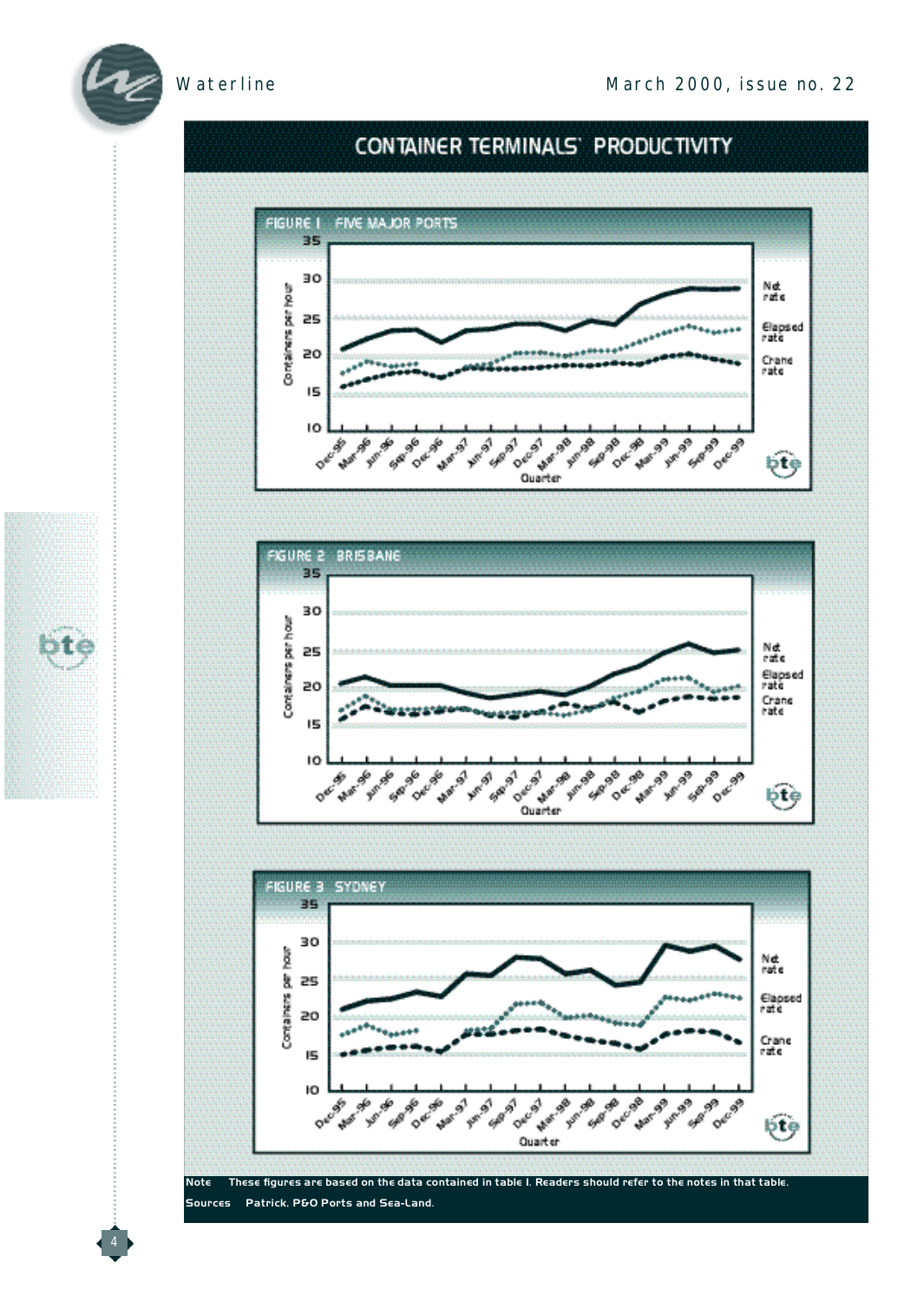



# CONTAINER TERMINALS' PRODUCTIVITY





*S o u r c e s Patrick, P&O Ports and Sea-Land.*

4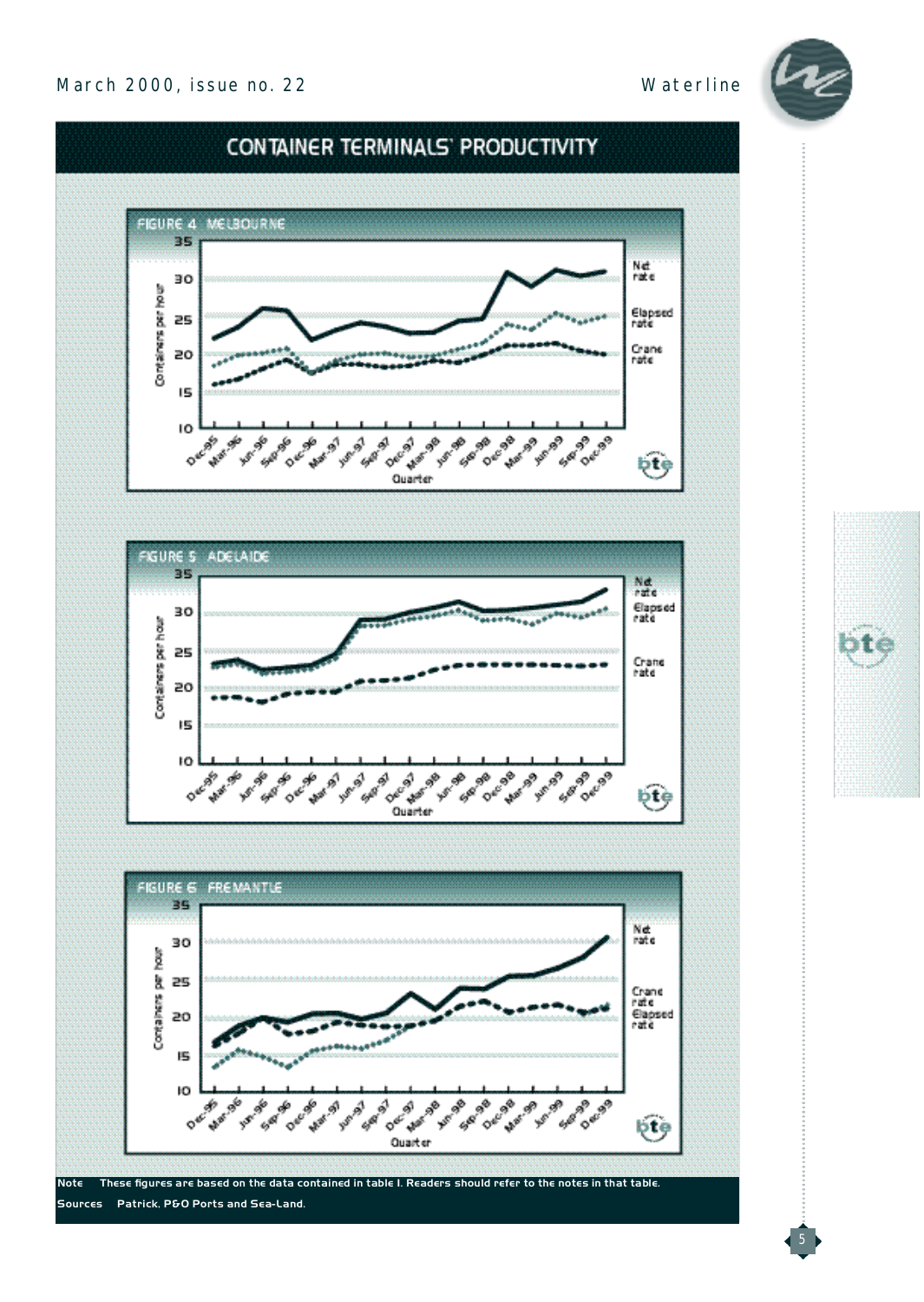

## CONTAINER TERMINALS' PRODUCTIVITY









5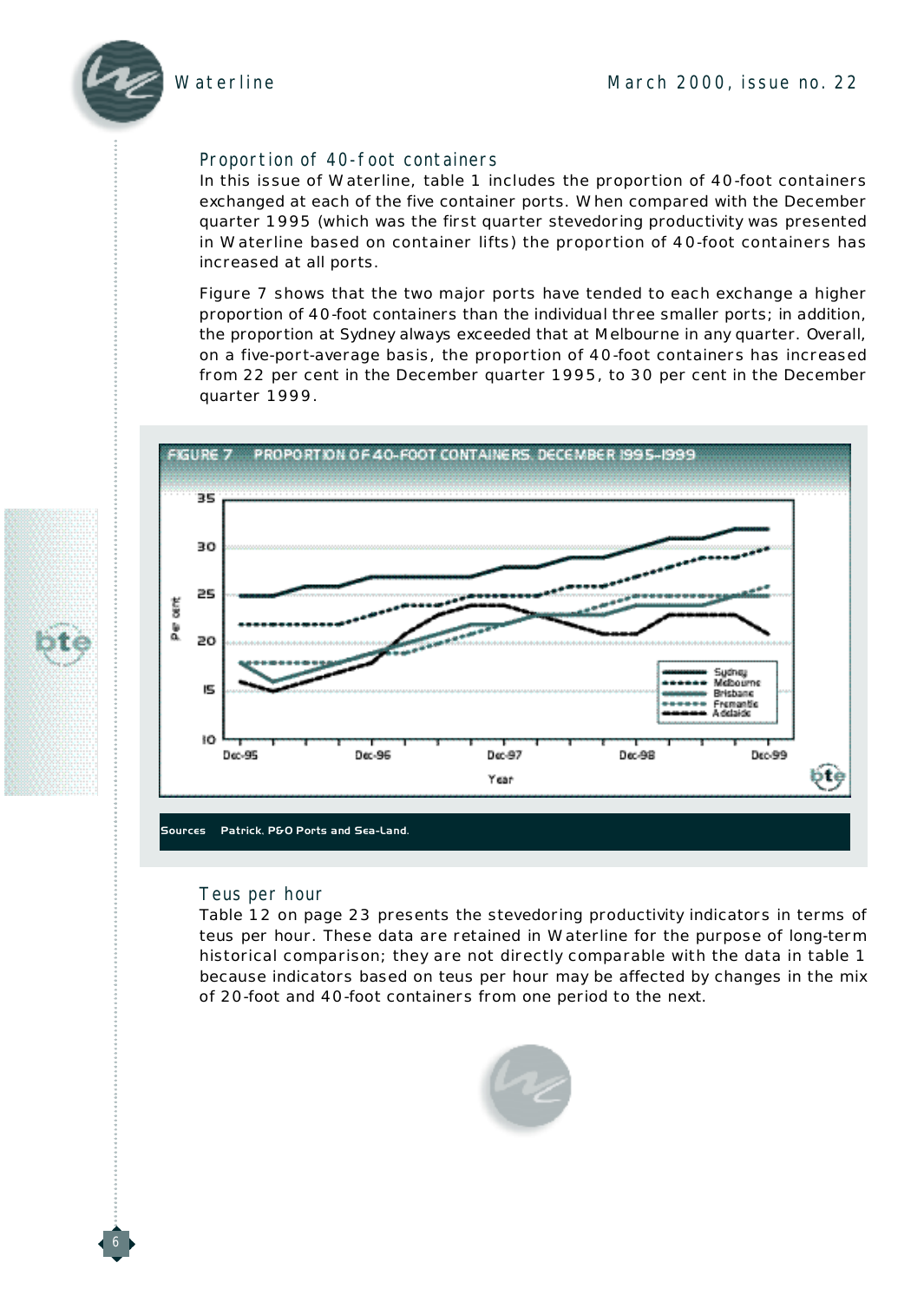#### Proportion of 40-foot containers

In this issue of *Waterline*, table 1 includes the proportion of 40-foot containers exchanged at each of the five container ports. When compared with the December quarter 1995 (which was the first quarter stevedoring productivity was presented in *Waterline* based on container lifts) the proportion of 40-foot containers has increased at all ports.

Figure 7 shows that the two major ports have tended to each exchange a higher propor tion of 40-foot containers than the individual three smaller ports; in addition, the propor tion at Sydney always exceeded that at Melbourne in any quarter. Overall, on a five-port-average basis, the proportion of 40-foot containers has increased from 22 per cent in the December quarter 1995, to 30 per cent in the December quarter 1999.



#### Teus per hour

6

Table 12 on page 23 presents the stevedoring productivity indicators in terms of *teus per hour.* These data are retained in *Waterline* for the purpose of long-term historical comparison; they are not directly comparable with the data in table 1 because indica tors based on teus per hour may be affected by changes in the mix of 20-foot and 40-foot containers from one period to the next.

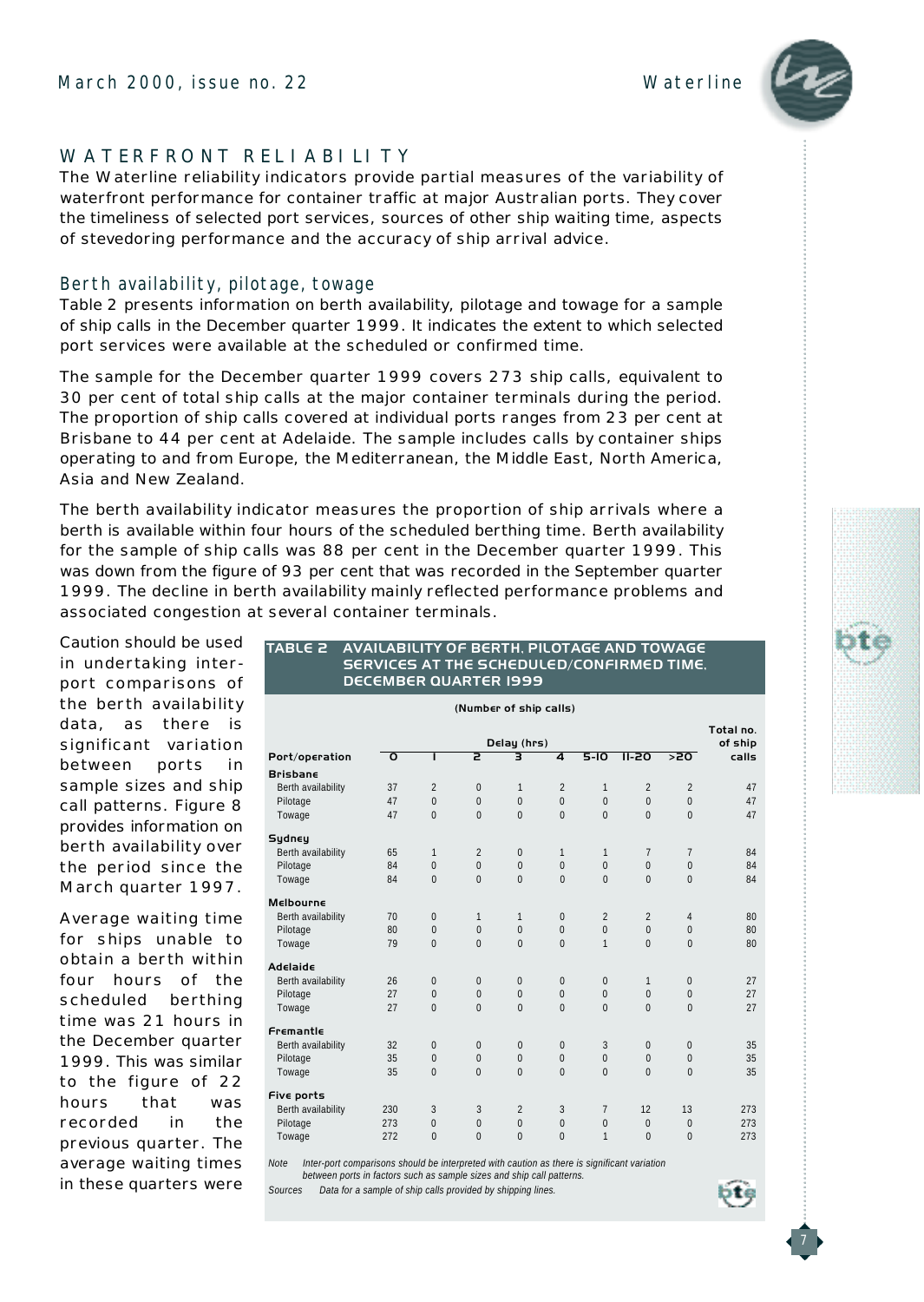#### WATERFRONT RELIABILITY

The *Waterline* reliability indicators provide partial measures of the variability of waterfront performance for container traffic at major Australian ports. They cover the timeliness of selected port services, sources of other ship waiting time, aspects of stevedoring performance and the accuracy of ship arrival advice .

#### Berth availability, pilotage, towage

Table 2 presents information on berth availability, pilotage and towage for a sample of ship calls in the December quarter 1999. It indicates the extent to which selected port services were available at the scheduled or confirmed time.

The sample for the December quarter 1999 covers 273 ship calls, equivalent to 30 per cent of total ship calls at the major container terminals during the period. The proportion of ship calls covered at individual ports ranges from 23 per cent at Brisbane to 44 per cent at Adelaide. The sample includes calls by container ships operating to and from Europe, the Mediterranean, the Middle East, North America, Asia and New Zealand.

The *berth availability* indicator measures the proportion of ship arrivals where a berth is available within four hours of the scheduled ber thing time. Berth availability for the sample of ship calls was 88 per cent in the December quarter 1999 . This was down from the figure of 93 per cent that was recorded in the September quarter 1999. The decline in berth availability mainly reflected performance problems and associated congestion at several container terminals.

Caution should be used in undertaking interport comparisons of the berth availability data, as there is significant variation between ports in sample sizes and ship call patterns. Figure 8 provides information on berth availability over the period since the March quarter 1997.

Average waiting time for ships unable to obtain a berth within four hours of the scheduled berthing time was 21 hours in the December quarter 1999. This was similar to the figure of 22 hours that was recorded in the previous quarter. The average waiting times in these quarters were

#### *TABLE 2 AVAILABILITY OF BERTH, PILOTAGE AND TOWAGE SERVICES AT THE SCHEDULED/CONFIRMED TIME, DECEMBER QUARTER 1999*

|                    |              |                |                |                  |                |                |                |                | Total no. |
|--------------------|--------------|----------------|----------------|------------------|----------------|----------------|----------------|----------------|-----------|
|                    |              |                |                | Delay (hrs)      |                |                |                |                | of ship   |
| Port/operation     | $\mathbf{o}$ | ш              | 2              | з                | 4              | $5-10$         | $II-20$        | >20            | calls     |
| Brisbane           |              |                |                |                  |                |                |                |                |           |
| Berth availability | 37           | $\overline{2}$ | $\overline{0}$ | 1                | $\overline{2}$ | 1              | $\overline{2}$ | $\overline{2}$ | 47        |
| Pilotage           | 47           | $\Omega$       | $\mathbf{0}$   | $\mathbf{0}$     | $\mathbf{0}$   | $\overline{0}$ | $\mathbf{0}$   | $\mathbf{0}$   | 47        |
| Towage             | 47           | $\Omega$       | $\mathbf{0}$   | $\mathbf{0}$     | $\mathbf{0}$   | $\Omega$       | $\Omega$       | $\overline{0}$ | 47        |
| Sydney             |              |                |                |                  |                |                |                |                |           |
| Berth availability | 65           | 1              | $\overline{2}$ | $\mathbf{0}$     | 1              | 1              | $\overline{7}$ | $\overline{7}$ | 84        |
| Pilotage           | 84           | $\mathbf{0}$   | $\mathbf{0}$   | $\bf 0$          | $\mathbf{0}$   | $\mathbf{0}$   | $\mathbf{0}$   | $\overline{0}$ | 84        |
| Towage             | 84           | $\Omega$       | $\Omega$       | $\mathbf{0}$     | $\mathbf{0}$   | $\Omega$       | $\Omega$       | $\mathbf{0}$   | 84        |
| Melbourne          |              |                |                |                  |                |                |                |                |           |
| Berth availability | 70           | $\mathbf{0}$   | 1              | 1                | $\mathbf{0}$   | $\overline{2}$ | $\overline{2}$ | 4              | 80        |
| Pilotage           | 80           | $\Omega$       | $\mathbf{0}$   | $\mathbf{0}$     | $\mathbf{0}$   | $\Omega$       | $\mathbf{0}$   | $\mathbf{0}$   | 80        |
| Towage             | 79           | $\Omega$       | $\mathbf{0}$   | $\mathbf{0}$     | $\mathbf{0}$   | 1              | $\Omega$       | $\mathbf{0}$   | 80        |
| Adelaide           |              |                |                |                  |                |                |                |                |           |
| Berth availability | 26           | $\mathbf{0}$   | $\overline{0}$ | $\mathbf{0}$     | $\mathbf 0$    | $\overline{0}$ | 1              | $\mathbf{0}$   | 27        |
| Pilotage           | 27           | $\mathbf{0}$   | $\mathbf{0}$   | $\boldsymbol{0}$ | $\mathbf 0$    | $\overline{0}$ | $\mathbf{0}$   | $\mathbf{0}$   | 27        |
| Towage             | 27           | $\mathbf{0}$   | $\overline{0}$ | $\mathbf{0}$     | $\mathbf{0}$   | $\Omega$       | $\Omega$       | $\mathbf{0}$   | 27        |
| Fremantle          |              |                |                |                  |                |                |                |                |           |
| Berth availability | 32           | $\mathbf{0}$   | $\overline{0}$ | $\mathbf{0}$     | $\mathbf{0}$   | 3              | $\overline{0}$ | $\mathbf{0}$   | 35        |
| Pilotage           | 35           | $\mathbf{0}$   | $\mathbf{0}$   | $\mathbf{0}$     | $\mathbf{0}$   | $\overline{0}$ | $\mathbf{0}$   | $\mathbf{0}$   | 35        |
| Towage             | 35           | $\mathbf{0}$   | $\mathbf{0}$   | $\mathbf{0}$     | $\mathbf{0}$   | $\Omega$       | $\Omega$       | $\mathbf{0}$   | 35        |
| Five ports         |              |                |                |                  |                |                |                |                |           |
| Berth availability | 230          | 3              | 3              | $\overline{2}$   | 3              | 7              | 12             | 13             | 273       |
| Pilotage           | 273          | $\mathbf{0}$   | $\mathbf{0}$   | $\mathbf{0}$     | $\mathbf{0}$   | $\mathbf{0}$   | $\overline{0}$ | $\overline{0}$ | 273       |
| Towage             | 272          | $\Omega$       | $\overline{0}$ | $\mathbf{0}$     | $\overline{0}$ | 1              | $\overline{0}$ | $\mathbf{0}$   | 273       |

*Note* Inter-port comparisons should be interpreted with caution as there is significant variation *between ports in factors such as sample sizes and ship call patterns.* Sources Data for a sample of ship calls provided by shipping lines.

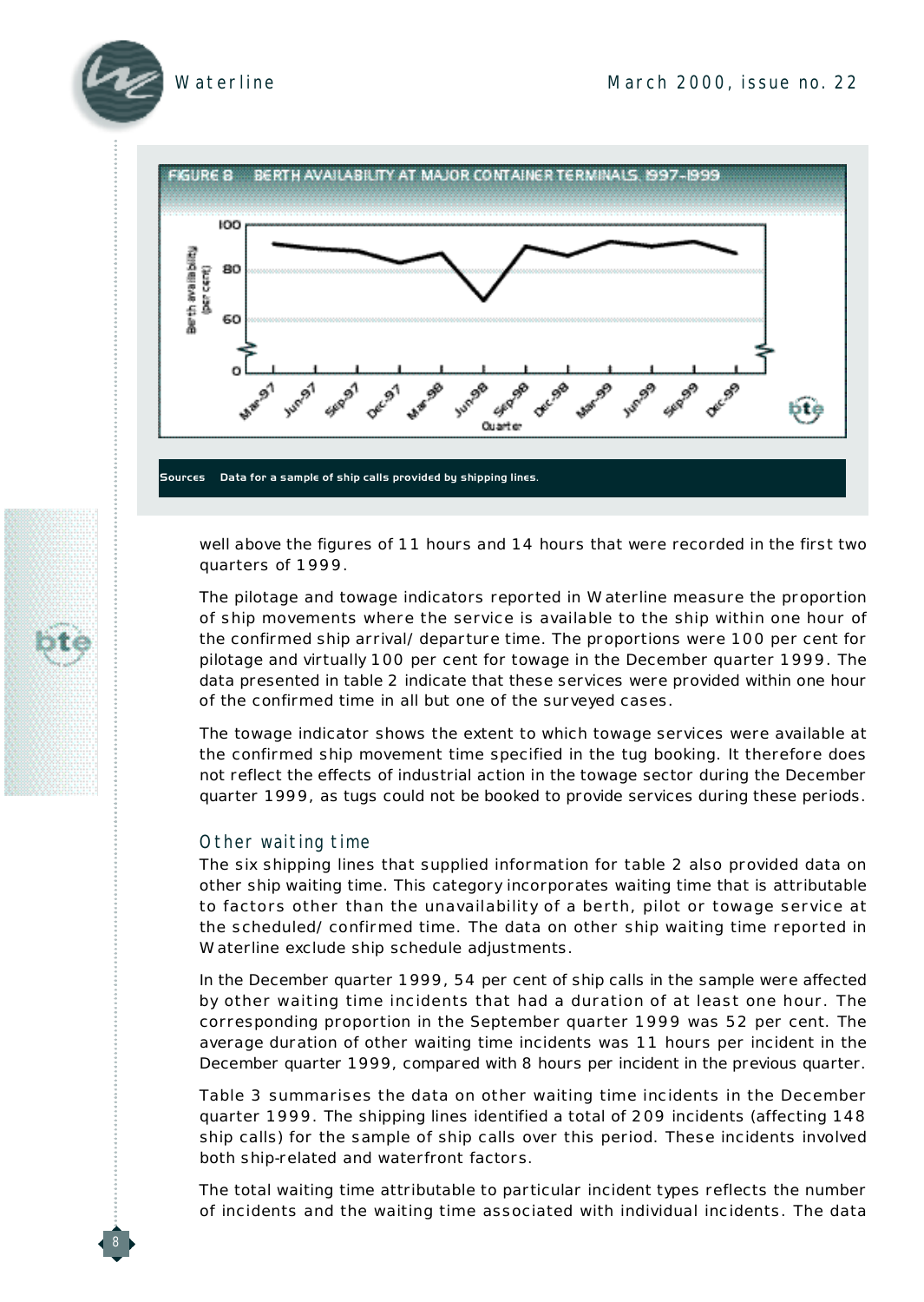



well above the figures of 11 hours and 14 hours that were recorded in the first two quarters of 1999.

The *pilotage* and *towage* indicators reported in *Waterline* measure the proportion of ship movements where the service is available to the ship within one hour of the confirmed ship arrival/departure time. The proportions were 100 per cent for pilotage and virtually 100 per cent for towage in the December quarter 1999. The data presented in table 2 indicate that these services were provided within one hour of the confirmed time in all but one of the surveyed cases.

The towage indicator shows the extent to which towage services were available at the confirmed ship movement time specified in the tug booking. It therefore does not reflect the effects of industrial action in the towage sector during the December quarter 1999, as tugs could not be booked to provide services during these periods.

#### Other waiting time

8

The six shipping lines that supplied information for table 2 also provided data on other ship waiting time. This category incorporates waiting time that is attributable to factors other than the unavailability of a berth, pilot or towage service at the scheduled/confirmed time. The data on other ship waiting time reported in *Waterline* exclude ship schedule adjustments.

In the December quarter 1999, 54 per cent of ship calls in the sample were affected by other waiting time incidents that had a duration of at least one hour. The corresponding proportion in the September quarter 1999 was 52 per cent. The average duration of other waiting time incidents was 11 hours per incident in the December quarter 1999, compared with 8 hours per incident in the previous quarter.

Table 3 summarises the data on other waiting time incidents in the December quarter 1999. The shipping lines identified a total of 209 incidents (affecting 148 ship calls) for the sample of ship calls over this period. These incidents involved both ship-related and waterfront factors.

The total waiting time attributable to particular incident types reflects the number of incidents and the waiting time associated with individual incidents. The data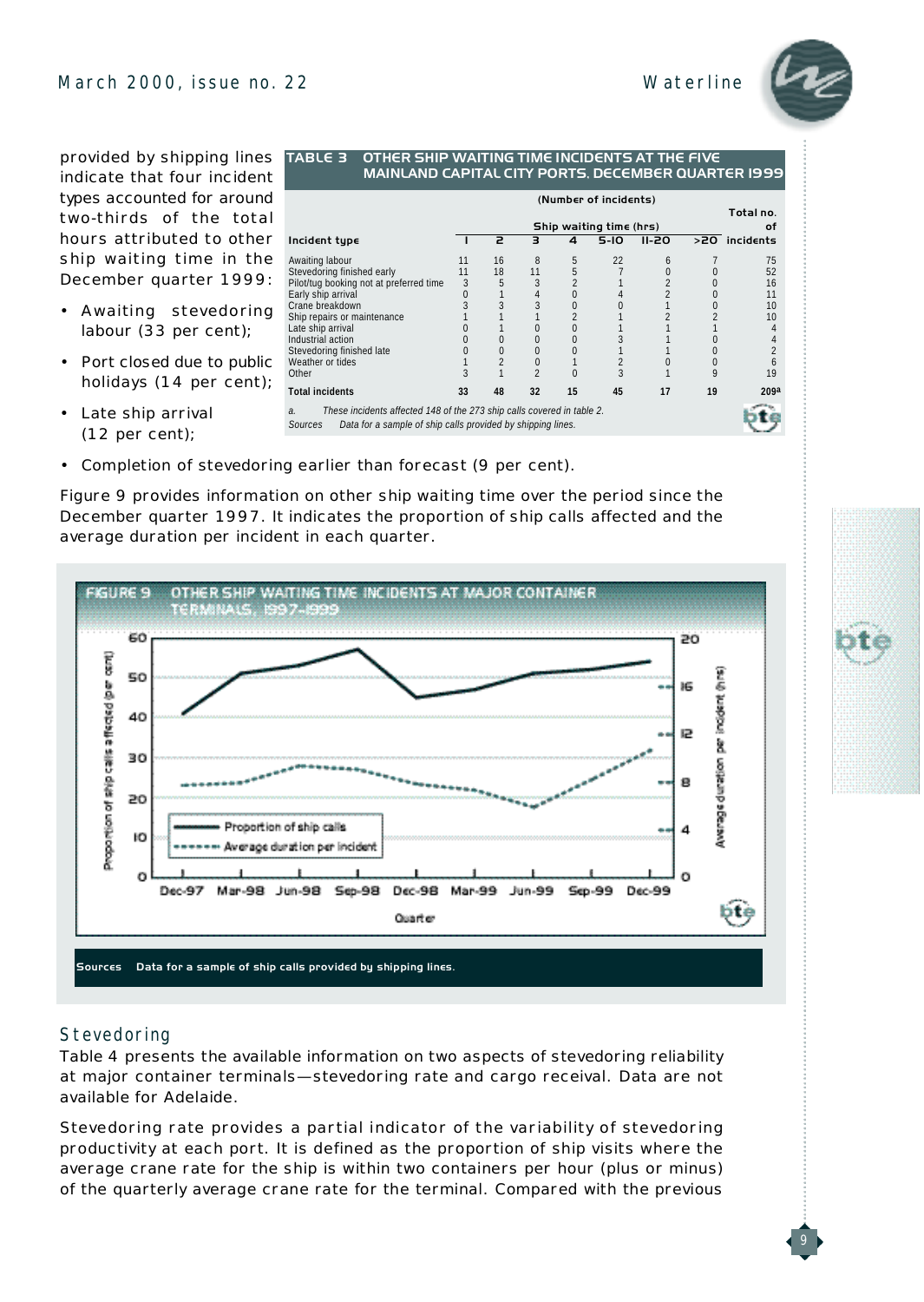provided by shipping lines indicate that four incident types accounted for around two-thirds of the total hours attributed to other ship waiting time in the December quarter 1999:

- Awaiting stevedoring labour  $(33$  per cent);
- Port closed due to public holidays  $(14$  per cent);
- Late ship arrival  $(12$  per cent);

|                                                                                                                                                                    | (Number of incidents) |                         |                |    |        |              |    |                  |  |  |  |
|--------------------------------------------------------------------------------------------------------------------------------------------------------------------|-----------------------|-------------------------|----------------|----|--------|--------------|----|------------------|--|--|--|
|                                                                                                                                                                    |                       | Ship waiting time (hrs) |                |    |        |              |    |                  |  |  |  |
| Incident type                                                                                                                                                      |                       | 2                       | 3              | 4  | $5-10$ | $II-2O$      |    | >20 incidents    |  |  |  |
| Awaiting labour                                                                                                                                                    | 11                    | 16                      | 8              | 5  | 22     | <sub>6</sub> |    | 75               |  |  |  |
| Stevedoring finished early                                                                                                                                         | 11                    | 18                      | 11             | 5  |        |              |    | 52               |  |  |  |
| Pilot/tug booking not at preferred time                                                                                                                            | 3                     | 5                       |                |    |        |              |    | 16               |  |  |  |
| Early ship arrival                                                                                                                                                 |                       |                         | 4              |    |        |              |    | 11               |  |  |  |
| Crane breakdown                                                                                                                                                    |                       | 3                       |                |    |        |              |    | 10               |  |  |  |
| Ship repairs or maintenance                                                                                                                                        |                       |                         |                |    |        |              |    | 10               |  |  |  |
| Late ship arrival                                                                                                                                                  |                       |                         |                |    |        |              |    |                  |  |  |  |
| Industrial action                                                                                                                                                  |                       | 0                       | 0              |    |        |              |    |                  |  |  |  |
| Stevedoring finished late                                                                                                                                          |                       | 0                       | 0              |    |        |              |    |                  |  |  |  |
| Weather or tides                                                                                                                                                   |                       |                         | 0              |    |        |              |    |                  |  |  |  |
| Other                                                                                                                                                              |                       |                         | $\mathfrak{D}$ |    | 3      |              | 9  | 19               |  |  |  |
| <b>Total incidents</b>                                                                                                                                             | 33                    | 48                      | 32             | 15 | 45     | 17           | 19 | 209 <sup>a</sup> |  |  |  |
| These incidents affected 148 of the 273 ship calls covered in table 2.<br>$\overline{a}$<br>Data for a sample of ship calls provided by shipping lines.<br>Sources |                       |                         |                |    |        |              |    |                  |  |  |  |

#### *TABLE 3 OTHER SHIP WAITING TIME INCIDENTS AT THE FIVE MAINLAND CAPITAL CITY PORTS, DECEMBER QUARTER 1999*

• Completion of stevedoring earlier than forecast (9 per cent).

Figure 9 provides information on other ship waiting time over the period since the December quarter 1997. It indicates the proportion of ship calls affected and the average duration per incident in each quarter.



#### Stevedoring

Table 4 presents the available information on two aspects of stevedoring reliability at major container terminals-stevedoring rate and cargo receival. Data are not available for Adelaide .

*Stevedoring rate* provides a partial indicator of the variability of stevedoring productivity at each port. It is defined as the proportion of ship visits where the average crane rate for the ship is within two containers per hour (plus or minus) of the quarterly average crane rate for the terminal. Compared with the previous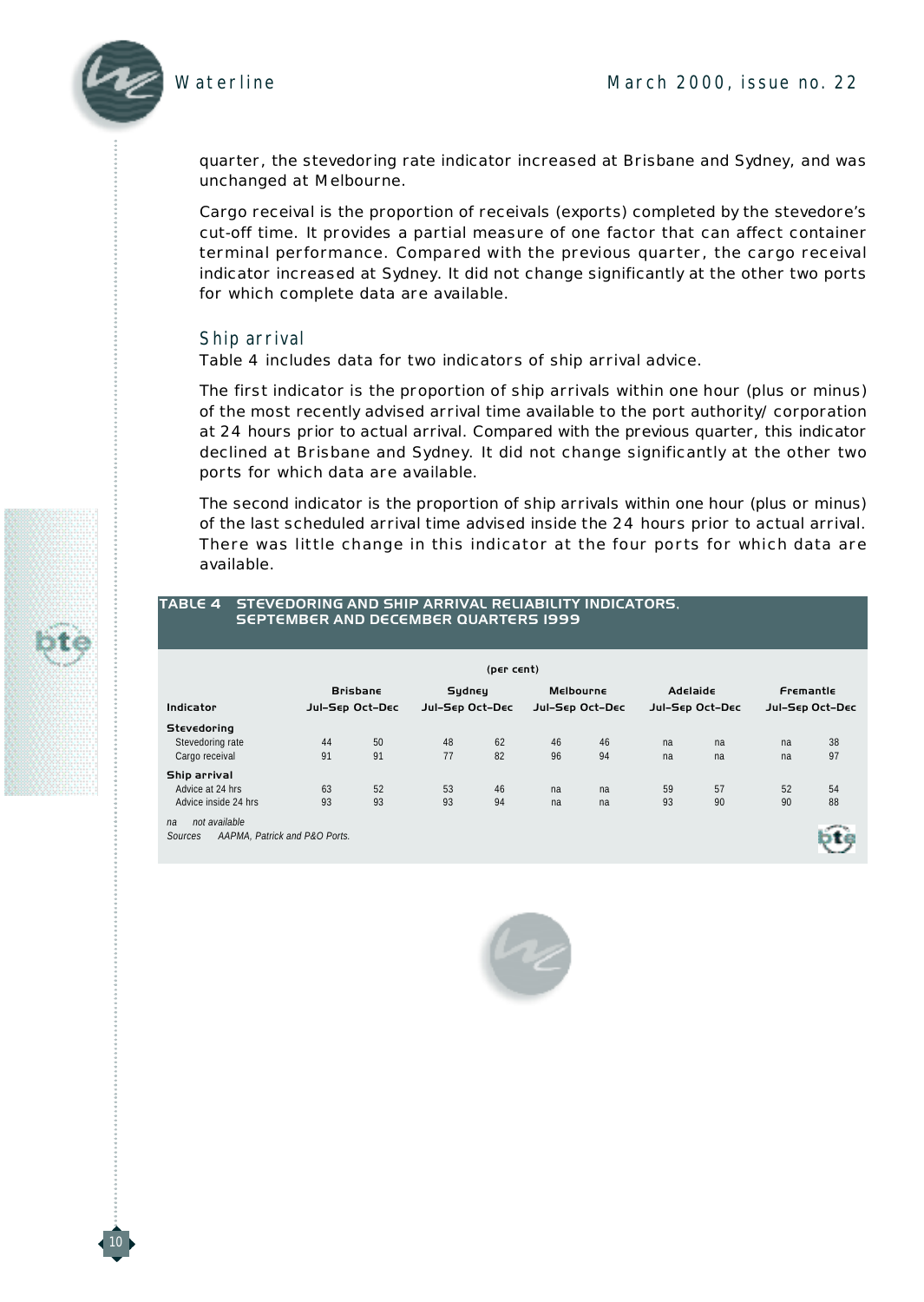

quarter, the stevedoring rate indicator increased at Brisbane and Sydney, and was unchanged at Melbourne.

*Cargo receival* is the proportion of receivals (exports) completed by the stevedore's cut-off time. It provides a partial measure of one factor that can a ffect container terminal performance. Compared with the previous quarter, the cargo receival indicator increased at Sydney. It did not change significantly at the other two ports for which complete data are available.

#### Ship arrival

Table 4 includes data for two indicators of ship arrival advice.

The first indicator is the proportion of ship arrivals within one hour (plus or minus) of the most recently advised arrival time available to the port authority/corporation *at 24 hours prior to actual arrival*. Compared with the previous quarter, this indicator declined at Brisbane and Sydney. It did not change significantly at the other two ports for which data are available.

The second indicator is the proportion of ship arrivals within one hour (plus or minus) of the last scheduled arrival time *advised inside the 24 hours prior to actual arrival.* There was little change in this indicator at the four ports for which data are available.

#### *TABLE 4 STEVEDORING AND SHIP ARRIVAL RELIABILITY INDICATORS, SEPTEMBER AND DECEMBER QUARTERS 1999*

|                      |    |                 |                 | (per cent) |    |                 |    |                 |    |                 |
|----------------------|----|-----------------|-----------------|------------|----|-----------------|----|-----------------|----|-----------------|
|                      |    | <b>Brisbane</b> | <b>Sydney</b>   |            |    | Melbourne       |    | Adelaide        |    | Fremantle       |
| Indicator            |    | Jul-Sep Oct-Dec | Jul-Sep Oct-Dec |            |    | Jul-Sep Oct-Dec |    | Jul-Sep Oct-Dec |    | Jul-Sep Oct-Dec |
| Stevedoring          |    |                 |                 |            |    |                 |    |                 |    |                 |
| Stevedoring rate     | 44 | 50              | 48              | 62         | 46 | 46              | na | na              | na | 38              |
| Cargo receival       | 91 | 91              | 77              | 82         | 96 | 94              | na | na              | na | 97              |
| Ship arrival         |    |                 |                 |            |    |                 |    |                 |    |                 |
| Advice at 24 hrs     | 63 | 52              | 53              | 46         | na | na              | 59 | 57              | 52 | 54              |
| Advice inside 24 hrs | 93 | 93              | 93              | 94         | na | na              | 93 | 90              | 90 | 88              |

*n a not available*

**10** 

Sources AAPMA, Patrick and P&O Ports.

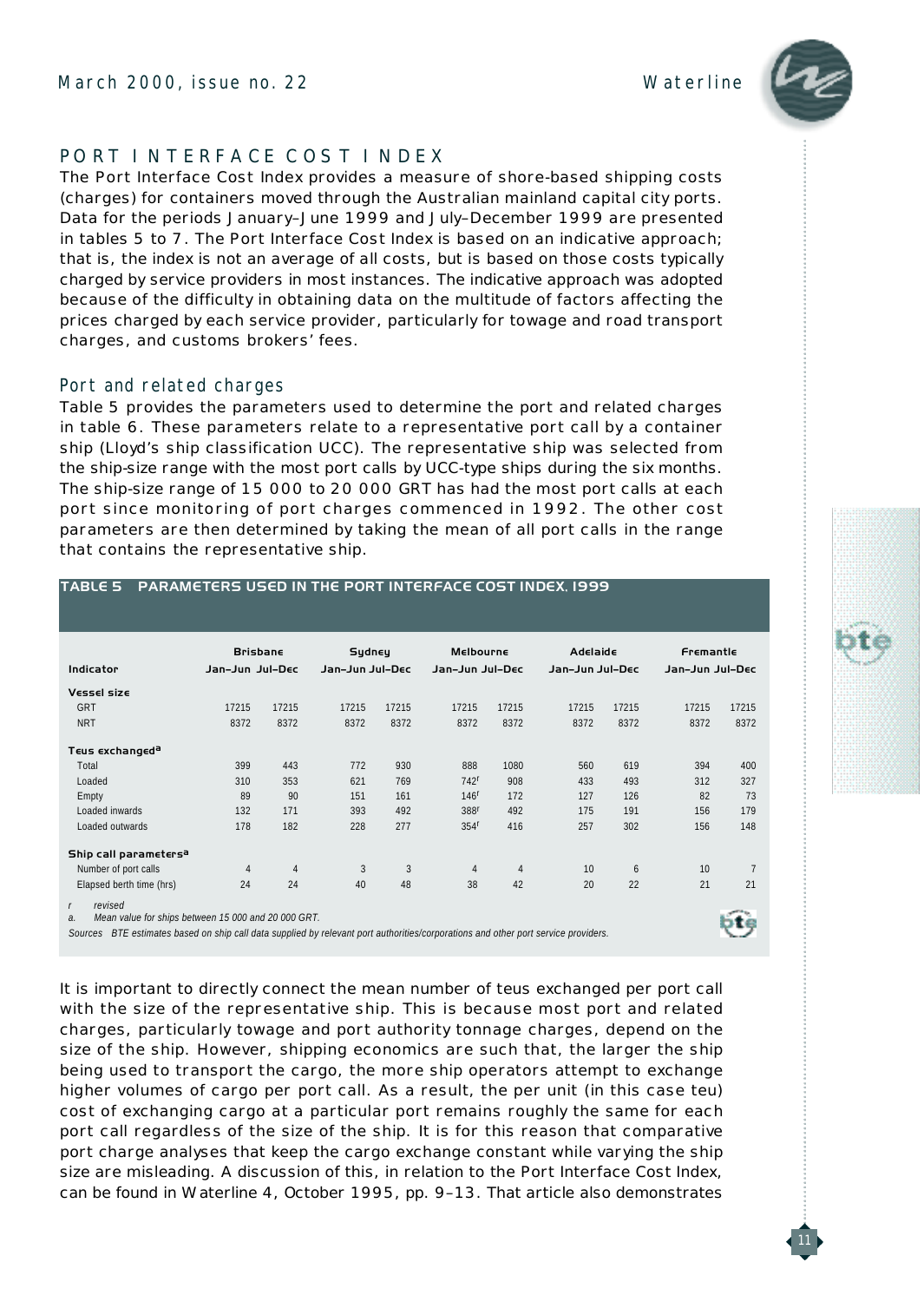

<u>11</u>

#### PORT I NTERFACE COST I NDEX

The Port Interface Cost Index provides a measure of shore-based shipping costs (charges) for containers moved through the Australian mainland capital city ports. Data for the periods January–June 1999 and July–December 1999 are presented in tables 5 to 7. The Port Interface Cost Index is based on an indicative approach; that is, the index is not an average of all costs, but is based on those costs typically charged by service providers in most instances. The indicative approach was adopted because of the difficulty in obtaining data on the multitude of factors affecting the prices charged by each service provider, particularly for towage and road transport charges , and customs brokers' fees.

#### Port and related charges

Table 5 provides the parameters used to determine the port and related charges in table 6. These parameters relate to a representative port call by a container ship (Lloyd's ship classification UCC). The representative ship was selected from the ship-size range with the most port calls by UCC-type ships during the six months. The ship-size range of 15 000 to 20 000 GRT has had the most port calls at each port since monitoring of port charges commenced in 1992. The other cost parameters are then determined by taking the mean of all port calls in the range that contains the representative ship.

|                                                                                                                                                                                                                                       | <b>Brisbane</b> |                |                 | Sydney |                  | <b>Melbourne</b> |                 | Adelaide | Fremantle       |       |
|---------------------------------------------------------------------------------------------------------------------------------------------------------------------------------------------------------------------------------------|-----------------|----------------|-----------------|--------|------------------|------------------|-----------------|----------|-----------------|-------|
| Indicator                                                                                                                                                                                                                             | Jan-Jun Jul-Dec |                | Jan-Jun Jul-Dec |        | Jan-Jun Jul-Dec  |                  | Jan-Jun Jul-Dec |          | Jan-Jun Jul-Dec |       |
| <b>Vessel size</b>                                                                                                                                                                                                                    |                 |                |                 |        |                  |                  |                 |          |                 |       |
| GRT                                                                                                                                                                                                                                   | 17215           | 17215          | 17215           | 17215  | 17215            | 17215            | 17215           | 17215    | 17215           | 17215 |
| <b>NRT</b>                                                                                                                                                                                                                            | 8372            | 8372           | 8372            | 8372   | 8372             | 8372             | 8372            | 8372     | 8372            | 8372  |
| Teus exchanged <sup>a</sup>                                                                                                                                                                                                           |                 |                |                 |        |                  |                  |                 |          |                 |       |
| Total                                                                                                                                                                                                                                 | 399             | 443            | 772             | 930    | 888              | 1080             | 560             | 619      | 394             | 400   |
| Loaded                                                                                                                                                                                                                                | 310             | 353            | 621             | 769    | 742 <sup>r</sup> | 908              | 433             | 493      | 312             | 327   |
| Empty                                                                                                                                                                                                                                 | 89              | 90             | 151             | 161    | 146 <sup>r</sup> | 172              | 127             | 126      | 82              | 73    |
| Loaded inwards                                                                                                                                                                                                                        | 132             | 171            | 393             | 492    | 388r             | 492              | 175             | 191      | 156             | 179   |
| Loaded outwards                                                                                                                                                                                                                       | 178             | 182            | 228             | 277    | 354 <sup>r</sup> | 416              | 257             | 302      | 156             | 148   |
| Ship call parameters <sup>a</sup>                                                                                                                                                                                                     |                 |                |                 |        |                  |                  |                 |          |                 |       |
| Number of port calls                                                                                                                                                                                                                  | $\overline{4}$  | $\overline{4}$ | 3               | 3      | $\overline{4}$   | $\overline{4}$   | 10              | 6        | 10              | 7     |
| Elapsed berth time (hrs)                                                                                                                                                                                                              | 24              | 24             | 40              | 48     | 38               | 42               | 20              | 22       | 21              | 21    |
| revised<br>$\mathcal{L}$<br>Mean value for ships between 15 000 and 20 000 GRT.<br>$\partial$ .<br>Sources BTF estimates based on ship call data supplied by relevant port authorities/corporations and other port service providers. |                 |                |                 |        |                  |                  |                 |          |                 |       |

*TABLE 5 PARAMETERS USED IN THE PORT INTERFACE COST INDEX, 1999*

It is important to directly connect the mean number of teus exchanged per port call with the size of the representative ship. This is because most port and related charges, particularly towage and port authority tonnage charges, depend on the size of the ship. However, shipping economics are such that, the larger the ship being used to transport the cargo, the more ship operators attempt to exchange higher volumes of cargo per port call. As a result, the per unit (in this case teu) cost of exchanging cargo at a particular port remains roughly the same for each port call regardless of the size of the ship. It is for this reason that comparative port charge analyses that keep the cargo exchange constant while varying the ship size are misleading. A discussion of this, in relation to the Port Interface Cost Index, can be found in *Waterline 4*, October 1995, pp. 9–13. That article also demonstrates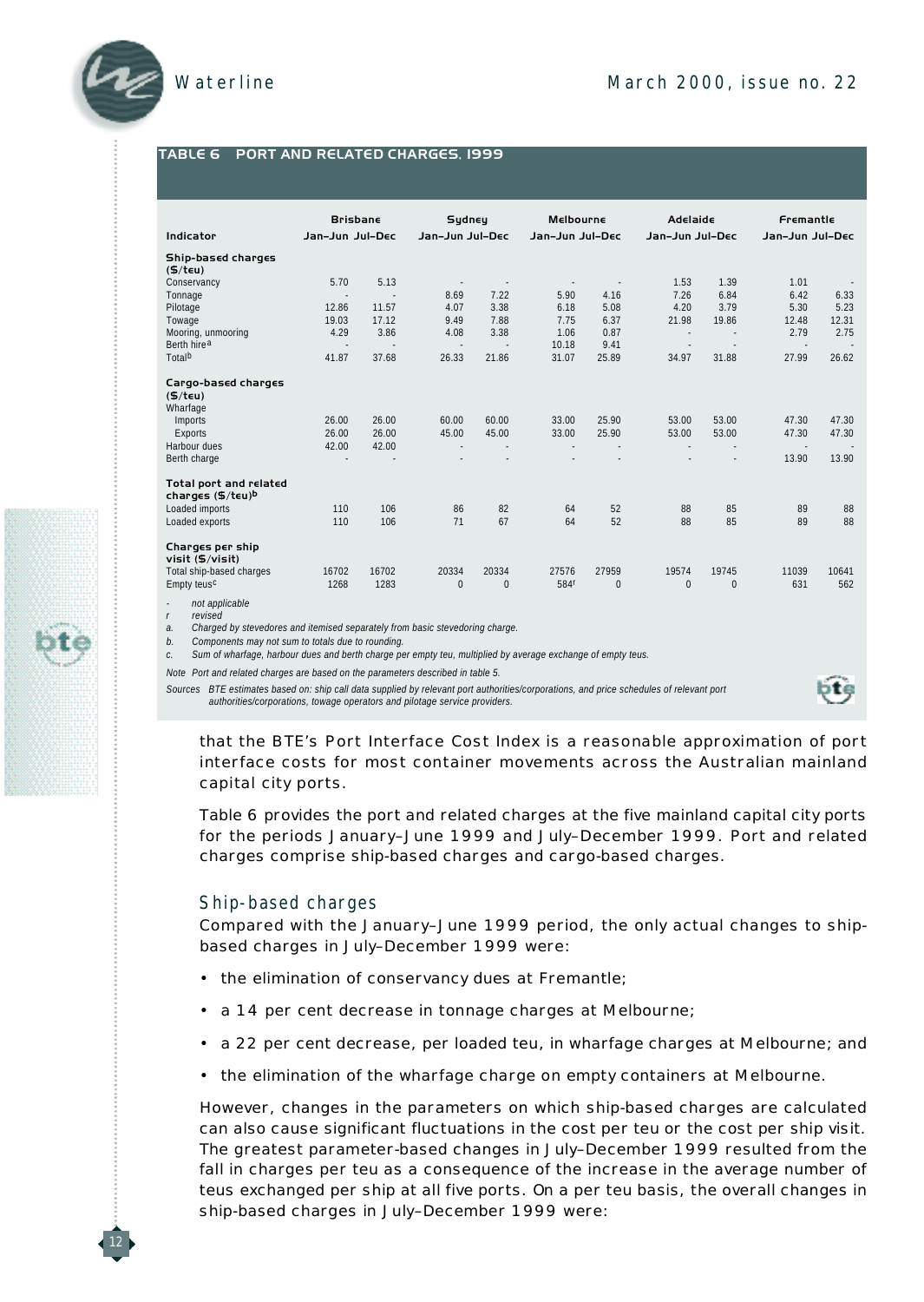#### *TABLE 6 PORT AND RELATED CHARGES, 1999*

| Indicator                                                                                |                          | <b>Brisbane</b><br>Jan-Jun Jul-Dec |                          | Sydney<br>Jan-Jun Jul-Dec | <b>Melbourne</b><br>Jan-Jun Jul-Dec |              | Adelaide<br>Jan-Jun Jul-Dec |                          | Fremantle<br>Jan-Jun Jul-Dec |          |
|------------------------------------------------------------------------------------------|--------------------------|------------------------------------|--------------------------|---------------------------|-------------------------------------|--------------|-----------------------------|--------------------------|------------------------------|----------|
|                                                                                          |                          |                                    |                          |                           |                                     |              |                             |                          |                              |          |
| Ship-based charges<br>$($ \$/teu)                                                        |                          |                                    |                          |                           |                                     |              |                             |                          |                              |          |
| Conservancy                                                                              | 5.70                     | 5.13                               | $\sim$                   | $\sim$                    | $\sim$                              | $\sim$       | 1.53                        | 1.39                     | 1.01                         |          |
| Tonnage                                                                                  | $\overline{\phantom{a}}$ | $\overline{\phantom{a}}$           | 8.69                     | 7.22                      | 5.90                                | 4.16         | 7.26                        | 6.84                     | 6.42                         | 6.33     |
| Pilotage                                                                                 | 12.86                    | 11.57                              | 4.07                     | 3.38                      | 6.18                                | 5.08         | 4.20                        | 3.79                     | 5.30                         | 5.23     |
| Towage                                                                                   | 19.03                    | 17.12                              | 9.49                     | 7.88                      | 7.75                                | 6.37         | 21.98                       | 19.86                    | 12.48                        | 12.31    |
| Mooring, unmooring                                                                       | 4.29                     | 3.86                               | 4.08                     | 3.38                      | 1.06                                | 0.87         | $\overline{\phantom{a}}$    |                          | 2.79                         | 2.75     |
| Berth hire <sup>a</sup>                                                                  | $\overline{\phantom{a}}$ |                                    | $\sim$                   | $\sim$                    | 10.18                               | 9.41         |                             |                          | $\sim$                       |          |
| Total <sup>b</sup>                                                                       | 41.87                    | 37.68                              | 26.33                    | 21.86                     | 31.07                               | 25.89        | 34.97                       | 31.88                    | 27.99                        | 26.62    |
| Cargo-based charges<br>$($ \$/teu)<br>Wharfage                                           |                          |                                    |                          |                           |                                     |              |                             |                          |                              |          |
| Imports                                                                                  | 26.00                    | 26.00                              | 60.00                    | 60.00                     | 33.00                               | 25.90        | 53.00                       | 53.00                    | 47.30                        | 47.30    |
| Exports                                                                                  | 26.00                    | 26.00                              | 45.00                    | 45.00                     | 33.00                               | 25.90        | 53.00                       | 53.00                    | 47.30                        | 47.30    |
| Harbour dues                                                                             | 42.00                    | 42.00                              | $\overline{\phantom{a}}$ | $\overline{a}$            |                                     |              | ٠                           | $\overline{\phantom{a}}$ | $\sim$                       |          |
| Berth charge                                                                             |                          |                                    |                          |                           |                                     |              |                             |                          | 13.90                        | 13.90    |
| Total port and related<br>charges $(5/\text{teu})^b$<br>Loaded imports<br>Loaded exports | 110<br>110               | 106<br>106                         | 86<br>71                 | 82<br>67                  | 64<br>64                            | 52<br>52     | 88<br>88                    | 85<br>85                 | 89<br>89                     | 88<br>88 |
|                                                                                          |                          |                                    |                          |                           |                                     |              |                             |                          |                              |          |
| Charges per ship<br>visit (\$/visit)<br>Total ship-based charges                         | 16702                    | 16702                              | 20334                    | 20334                     | 27576                               | 27959        | 19574                       | 19745                    | 11039                        | 10641    |
| Empty teus <sup>c</sup>                                                                  | 1268                     | 1283                               | $\overline{0}$           | $\overline{0}$            | 584 <sup>r</sup>                    | $\mathbf{0}$ | $\mathbf{0}$                | $\mathbf{0}$             | 631                          | 562      |
| $\sim$ $\sim$ $\sim$ $\sim$ $\sim$                                                       |                          |                                    |                          |                           |                                     |              |                             |                          |                              |          |

*- not applicable*  $revised$ 

12

*a . Charged by stevedores and itemised separately from basic stevedoring charge.*

*b . Components may not sum to totals due to rounding.*

*c . Sum of wharfage, harbour dues and berth charge per empty teu, multiplied by average exchange of empty teus.*

*Note Port and related charges are based on the parameters described in table 5.* 

Sources BTE estimates based on: ship call data supplied by relevant port authorities/corporations, and price schedules of relevant port *authorities/corporations, towage operators and pilotage service providers.*



that the BTE's Port Interface Cost Index is a reasonable approximation of port interface costs for most container movements across the Australian mainland capital city ports.

Table 6 provides the port and related charges at the five mainland capital city ports for the periods January-June 1999 and July-December 1999. Port and related charges comprise ship-based charges and cargo-based charges.

#### Ship-based charges

Compared with the January-June 1999 period, the only actual changes to shipbased charges in July–December 1999 were :

- the elimination of conservancy dues at Fremantle;
- a 14 per cent decrease in tonnage charges at Melbourne;
- a 22 per cent decrease, per loaded teu, in wharfage charges at Melbourne; and
- the elimination of the wharfage charge on empty containers at Melbourne.

However , changes in the parameters on which ship-based charges are calculated can also cause significant fluctuations in the cost per teu or the cost per ship visit. The greatest parameter-based changes in July–December 1999 resulted from the fall in charges per teu as a consequence of the increase in the average number of teus exchanged per ship at all five ports. On a *per teu basis*, the overall changes in ship-based charges in July –December 1999 were: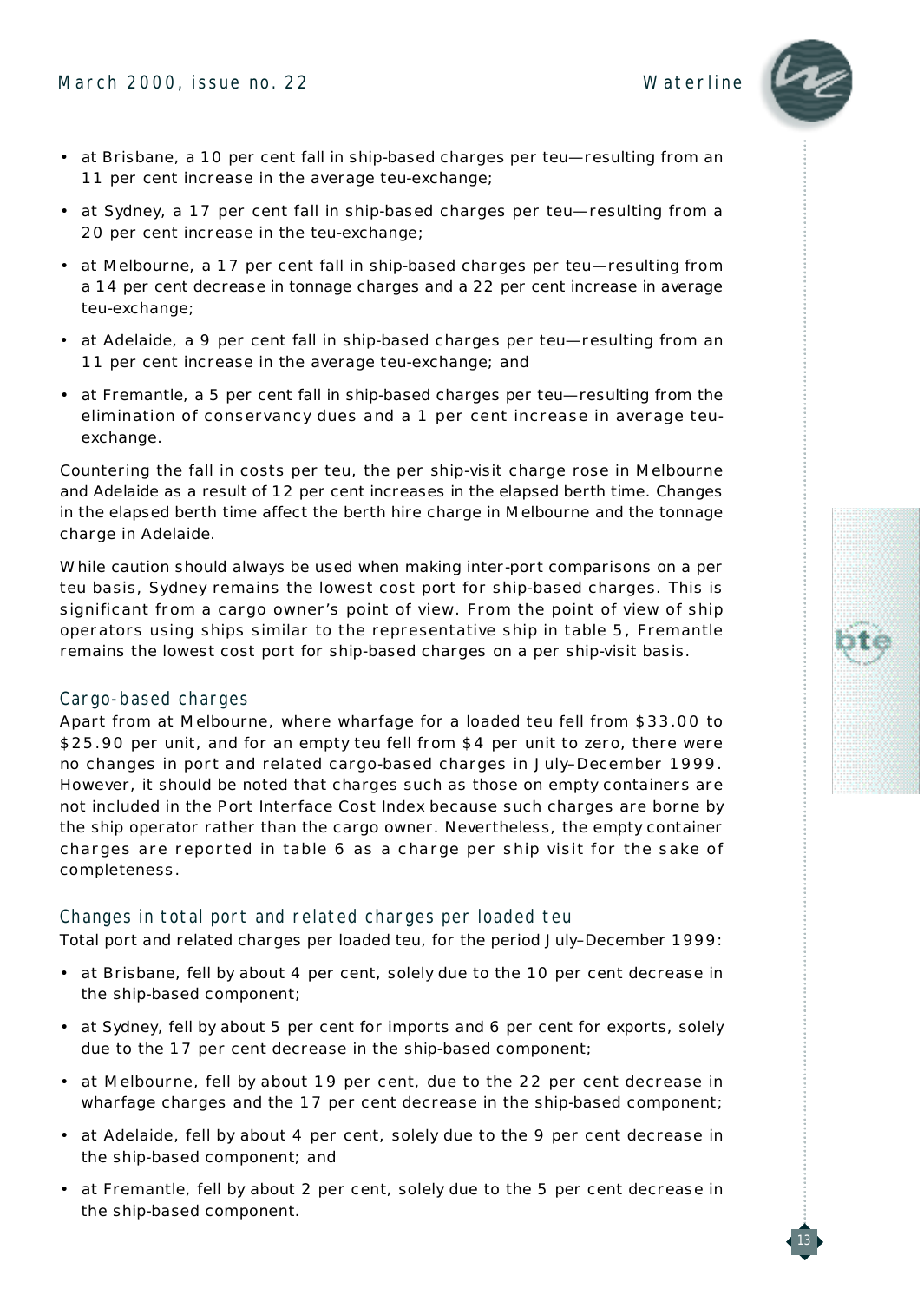

1 3

- at *Brisbane*, a 10 per cent fall in ship-based charges per teu—resulting from an 11 per cent increase in the average teu-exchange;
- at *Sydney*, a 17 per cent fall in ship-based charges per teu—resulting from a 20 per cent increase in the teu-exchange;
- at *Melbourne*, a 17 per cent fall in ship-based charges per teu—resulting from a 14 per cent decrease in tonnage charges and a 22 per cent increase in average teu-exchange;
- at *A de laide*, a 9 per cent fall in ship-based charges per teu—resulting from an 11 per cent increase in the average teu-exchange; and
- at *Fremantle*, a 5 per cent fall in ship-based charges per teu—resulting from the elimination of conservancy dues and a 1 per cent increase in average teuexchange.

Countering the fall in costs per teu , the *per ship-visit charge* rose in Melbourne and Adelaide as a result of 12 per cent increases in the elapsed berth time. Changes in the elapsed berth time affect the berth hire charge in Melbourne and the tonnage charge in Adelaide.

While caution should always be used when making inter-port comparisons on a per teu basis, Sydney remains the lowest cost port for ship-based charges. This is significant from a cargo owner's point of view. From the point of view of ship operators using ships similar to the representative ship in table 5, Fremantle remains the lowest cost port for ship-based charges on a per ship-visit basis.

#### Cargo-based charges

Apart from at Melbourne , where wharfage for a loaded teu fell from \$33 .00 to \$25.90 per unit, and for an empty teu fell from \$4 per unit to zero, there were no changes in port and related cargo-based charges in July-December 1999. However, it should be noted that charges such as those on empty containers are not included in the Port Interface Cost Index because such charges are borne by the ship operator rather than the cargo owner. Nevertheless, the empty container charges are reported in table 6 as a charge per ship visit for the sake of completeness.

#### Changes in total port and related charges per loaded teu

Total port and related charges per loaded teu, for the period July–December 1999:

- at *Brisbane*, fell by about 4 per cent, solely due to the 10 per cent decrease in the ship-based component;
- at *Sydney*, fell by about 5 per cent for imports and 6 per cent for exports, solely due to the 17 per cent decrease in the ship-based component;
- at Melbourne, fell by about 19 per cent, due to the 22 per cent decrease in wharfage charges and the 17 per cent decrease in the ship-based component;
- at *Adelaide*, fell by about 4 per cent, solely due to the 9 per cent decrease in the ship-based component; and
- at *Fremantle*, fell by about 2 per cent, solely due to the 5 per cent decrease in the ship-based component.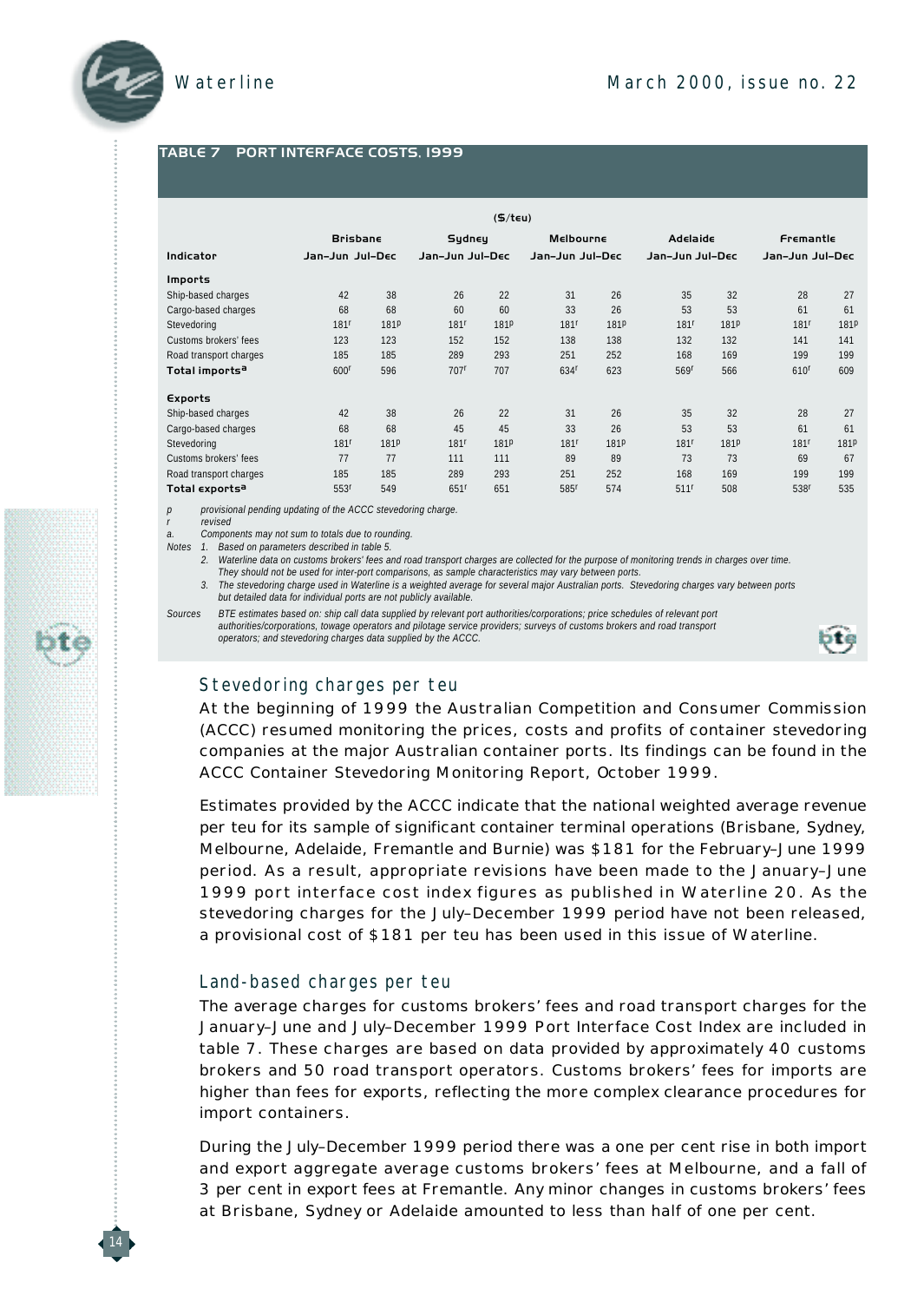#### *TABLE 7 PORT INTERFACE COSTS, 1999*

| $($ \$/teu)                |                  |                  |                  |      |                  |                  |                  |                  |                  |                  |
|----------------------------|------------------|------------------|------------------|------|------------------|------------------|------------------|------------------|------------------|------------------|
|                            | <b>Brisbane</b>  |                  | Sydney           |      | <b>Melbourne</b> |                  | Adelaide         |                  | Fremantle        |                  |
| Indicator                  | Jan-Jun Jul-Dec  |                  | Jan-Jun Jul-Dec  |      | Jan-Jun Jul-Dec  |                  | Jan-Jun Jul-Dec  |                  | Jan-Jun Jul-Dec  |                  |
| <b>Imports</b>             |                  |                  |                  |      |                  |                  |                  |                  |                  |                  |
| Ship-based charges         | 42               | 38               | 26               | 22   | 31               | 26               | 35               | 32               | 28               | 27               |
| Cargo-based charges        | 68               | 68               | 60               | 60   | 33               | 26               | 53               | 53               | 61               | 61               |
| Stevedoring                | 181 <sup>r</sup> | 181 <sup>p</sup> | 181 <sup>r</sup> | 181P | 181 <sup>r</sup> | 181 <sup>p</sup> | 181 <sup>r</sup> | 181 <sup>p</sup> | 181 <sup>r</sup> | 181 <sup>p</sup> |
| Customs brokers' fees      | 123              | 123              | 152              | 152  | 138              | 138              | 132              | 132              | 141              | 141              |
| Road transport charges     | 185              | 185              | 289              | 293  | 251              | 252              | 168              | 169              | 199              | 199              |
| Total imports <sup>a</sup> | 600 <sup>r</sup> | 596              | 707 <sup>r</sup> | 707  | 634 <sup>r</sup> | 623              | 569 <sup>r</sup> | 566              | 610 <sup>r</sup> | 609              |
| Exports                    |                  |                  |                  |      |                  |                  |                  |                  |                  |                  |
| Ship-based charges         | 42               | 38               | 26               | 22   | 31               | 26               | 35               | 32               | 28               | 27               |
| Cargo-based charges        | 68               | 68               | 45               | 45   | 33               | 26               | 53               | 53               | 61               | 61               |
| Stevedoring                | 181 <sup>r</sup> | 181P             | 181 <sup>r</sup> | 181P | 181 <sup>r</sup> | 181P             | 181 <sup>r</sup> | 181P             | 181 <sup>r</sup> | 181P             |
| Customs brokers' fees      | 77               | 77               | 111              | 111  | 89               | 89               | 73               | 73               | 69               | 67               |
| Road transport charges     | 185              | 185              | 289              | 293  | 251              | 252              | 168              | 169              | 199              | 199              |
| Total exports <sup>a</sup> | 553 <sup>r</sup> | 549              | 651 <sup>r</sup> | 651  | 585 <sup>r</sup> | 574              | 511 <sup>r</sup> | 508              | 538r             | 535              |

*p provisional pending updating of the ACCC stevedoring charge.*

*r r e v i s e d*

1 4

*a . Components may not sum to totals due to rounding.* 

*Notes* 1. *Based on parameters described in table 5.* 

*2 . Waterline data on customs brokers' fees and road transport charges are collected for the purpose of monitoring trends in charges over time. They should not be used for inter-port comparisons, as sample characteristics may vary between ports.*

*3 . The stevedoring charge used in Waterline is a weighted average for several major Australian ports. Stevedoring charges vary between ports but detailed data for individual ports are not publicly available.*

Sources BTE estimates based on: ship call data supplied by relevant port authorities/corporations; price schedules of relevant port *authorities/corporations, towage operators and pilotage service providers; surveys of customs brokers and road transport operators; and stevedoring charges data supplied by the ACCC.*



#### Stevedoring charges per teu

At the beginning of 1999 the Australian Competition and Consumer Commission (ACCC) resumed monitoring the prices, costs and profits of container stevedoring companies at the major Australian container ports. Its findings can be found in the ACCC Container Stevedoring Monitoring Report, October 1999.

Estimates provided by the ACCC indicate that the national weighted average revenue per teu for its sample of significant container terminal operations (Brisbane, Sydney, Melbourne, Adelaide, Fremantle and Burnie) was \$181 for the February–June 1999 period. As a result, appropriate revisions have been made to the January-June 1999 port interface cost index figures as published in Waterline 20. As the s tevedoring charges for the July–December 1999 period have not been released, a provisional cost of \$181 per teu has been used in this issue of *Waterline*.

#### Land-based charges per teu

The average charges for customs brokers' fees and road transport charges for the January-June and July-December 1999 Port Interface Cost Index are included in table 7. These charges are based on data provided by approximately 40 customs brokers and 50 road transport operators. Customs brokers' fees for imports are higher than fees for exports, reflecting the more complex clearance procedures for import containers.

During the July–December 1999 period there was a one per cent rise in both import and export aggregate average customs brokers' fees at Melbourne, and a fall of 3 per cent in export fees at Fremantle. Any minor changes in customs brokers' fees at Brisbane, Sydney or Adelaide amounted to less than half of one per cent.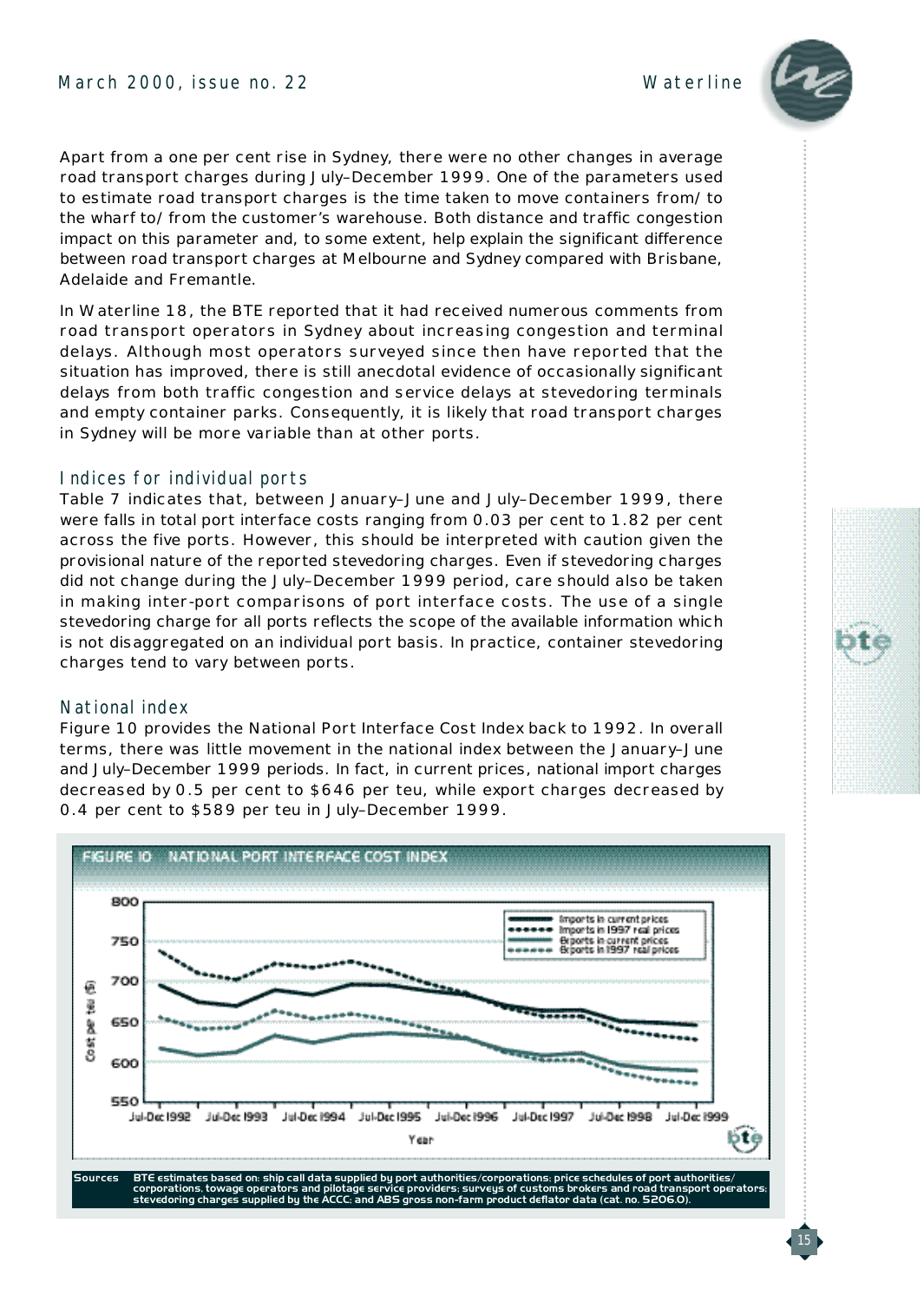Apart from a one per cent rise in Sydney, there were no other changes in average road transport charges during July –December 1999. One of the parameters used to estimate road transport charges is the time taken to move containers from/to the wharf to/from the customer's warehouse. Both distance and traffic congestion impact on this parameter and, to some extent, help explain the significant difference between road transport charges at Melbourne and Sydney compared with Brisbane, Adelaide and Fremantle.

In *Waterline 18*, the BTE reported that it had received numerous comments from road transport operators in Sydney about increasing congestion and terminal delays. Although most operators surveyed since then have reported that the situation has improved, there is still anecdotal evidence of occasionally significant delays from both traffic congestion and service delays at stevedoring terminals and empty container parks. Consequently, it is likely that road transport charges in Sydney will be more variable than at other ports.

#### Indices for individual ports

Table 7 indicates that, between January–June and July-December 1999, there were falls in total port interface costs ranging from 0.03 per cent to 1.82 per cent across the five ports. However , this should be interpreted with caution given the provisional nature of the repor ted stevedoring charges. Even if stevedoring charges did not change during the July-December 1999 period, care should also be taken in making inter-port comparisons of port interface costs. The use of a single stevedoring charge for all ports reflects the scope of the available information which is not disaggregated on an individual port basis. In practice, container stevedoring charges tend to vary between ports.

#### National index

Figure 10 provides the National Port Interface Cost Index back to 1992. In overall terms, there was little movement in the national index between the January–June and July–December 1999 periods. In fact, in current prices, national import charges decreased by 0.5 per cent to \$646 per teu, while export charges decreased by 0.4 per cent to \$589 per teu in July–December 1999.



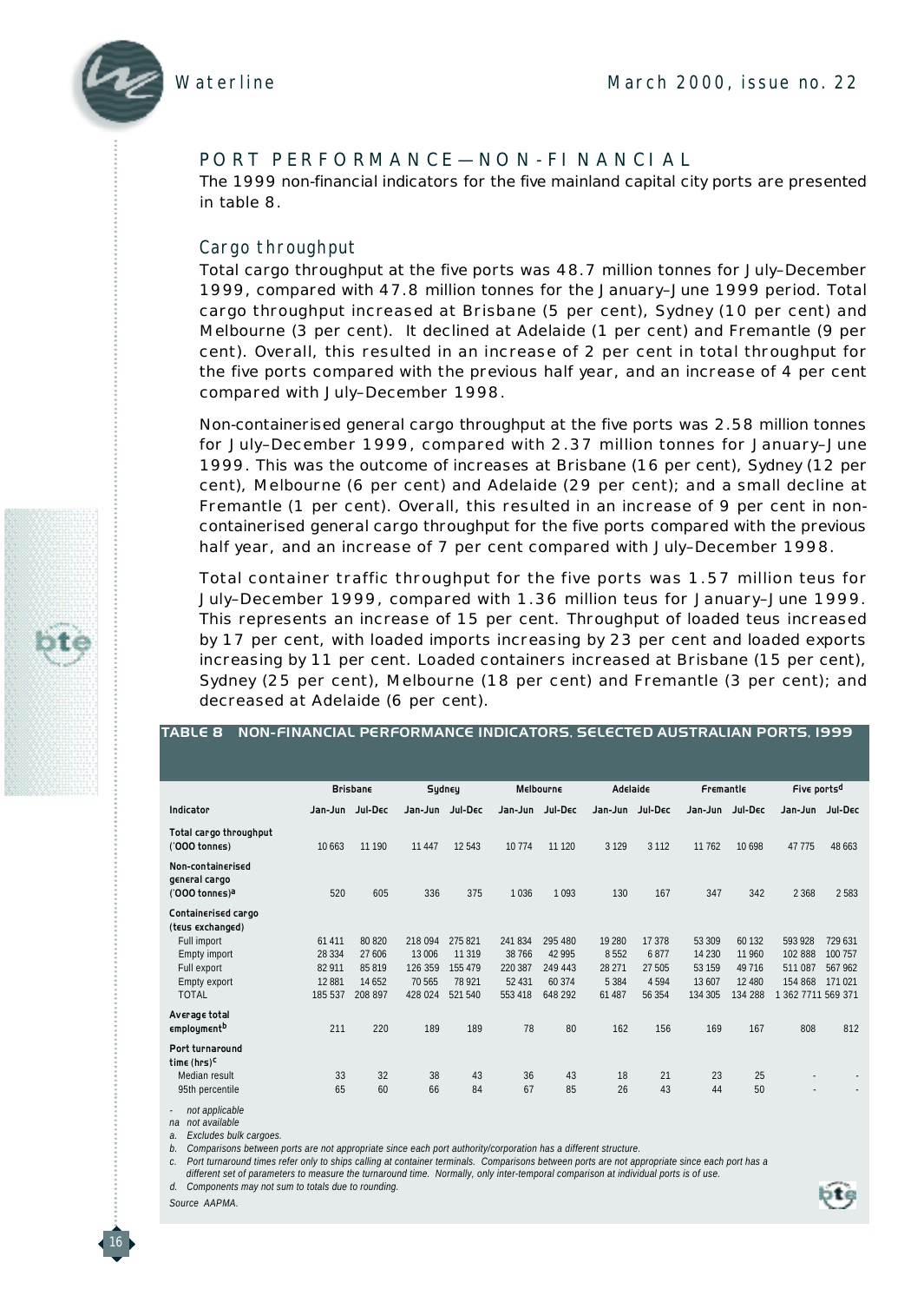

#### PORT PERFORMANCE-NON-FINANCIAL

The 1999 non-financial indicators for the five mainland capital city ports are presented in table 8.

#### Cargo throughput

*Total cargo* throughput at the five ports was 48.7 million tonnes for July–December 1999, compared with 47.8 million tonnes for the January–June 1999 period. Total cargo throughput increased at Brisbane (5 per cent), Sydney (10 per cent) and Melbourne (3 per cent). It declined at Adelaide (1 per cent) and Fremantle (9 per cent). Overall, this resulted in an increase of 2 per cent in total throughput for the five ports compared with the previous half year, and an increase of 4 per cent compared with July-December 1998.

*Non-containerised general cargo* throughput at the five ports was 2.58 million tonnes for July-December 1999, compared with 2.37 million tonnes for January-June 1999. This was the outcome of increases at Brisbane (16 per cent), Sydney (12 per cent), Melbourne (6 per cent) and Adelaide (29 per cent); and a small decline at Fremantle (1 per cent). Overall, this resulted in an increase of 9 per cent in noncontainerised general cargo throughput for the five ports compared with the previous half year, and an increase of 7 per cent compared with July-December 1998.

*Total container traffic throughput for the five ports was 1.57 million teus for* July-December 1999, compared with 1.36 million teus for January-June 1999. This represents an increase of 15 per cent. Throughput of loaded teus increased by 17 per cent, with loaded imports increasing by 23 per cent and loaded exports increasing by 11 per cent. Loaded containers increased at Brisbane (15 per cent), Sydney (25 per cent), Melbourne (18 per cent) and Fremantle (3 per cent); and decreased at Adelaide (6 per cent).

#### *TABLE 8 NON-FINANCIAL PERFORMANCE INDICATORS, SELECTED AUSTRALIAN PORTS, 1999*

|                                                      |         | <b>Brisbane</b> | Sydney          |         |          | Melbourne | Adelaide        |         | Fremantle |         | Five ports <sup>d</sup>  |         |
|------------------------------------------------------|---------|-----------------|-----------------|---------|----------|-----------|-----------------|---------|-----------|---------|--------------------------|---------|
| Indicator                                            |         | Jan-Jun Jul-Dec | Jan-Jun Jul-Dec |         | Jan-Jun  | Jul-Dec   | Jan-Jun Jul-Dec |         | Jan-Jun   | Jul-Dec | Jan-Jun Jul-Dec          |         |
| Total cargo throughput<br>('000 tonnes)              | 10 6 63 | 11 190          | 11 4 4 7        | 12 543  | 10 7 7 4 | 11 1 20   | 3 1 2 9         | 3 1 1 2 | 11762     | 10 698  | 47 7 7 5                 | 48 663  |
| Non-containerised<br>general cargo<br>('000 tonnes)a | 520     | 605             | 336             | 375     | 1036     | 1093      | 130             | 167     | 347       | 342     | 2 3 6 8                  | 2 5 8 3 |
| Containerised cargo<br>(teus exchanged)              |         |                 |                 |         |          |           |                 |         |           |         |                          |         |
| Full import                                          | 61411   | 80 820          | 218 094         | 275 821 | 241834   | 295 480   | 19 280          | 17 378  | 53 309    | 60 132  | 593 928                  | 729 631 |
| Empty import                                         | 28 3 34 | 27 606          | 13 006          | 11 3 19 | 38 766   | 42 9 95   | 8552            | 6877    | 14 2 30   | 11 960  | 102 888                  | 100 757 |
| Full export                                          | 82 911  | 85 819          | 126 359         | 155 479 | 220 387  | 249 443   | 28 271          | 27 505  | 53 159    | 49 7 16 | 511 087                  | 567 962 |
| Empty export                                         | 12881   | 14 652          | 70 565          | 78 9 21 | 52 431   | 60 374    | 5 3 8 4         | 4 5 9 4 | 13 607    | 12 480  | 154 868                  | 171 021 |
| <b>TOTAL</b>                                         | 185 537 | 208 897         | 428 024         | 521 540 | 553 418  | 648 292   | 61 487          | 56 354  | 134 305   | 134 288 | 362 7711 569 371         |         |
| Average total<br>employment <sup>b</sup>             | 211     | 220             | 189             | 189     | 78       | 80        | 162             | 156     | 169       | 167     | 808                      | 812     |
| Port turnaround<br>time (hrs) <sup>c</sup>           |         |                 |                 |         |          |           |                 |         |           |         |                          |         |
| Median result                                        | 33      | 32              | 38              | 43      | 36       | 43        | 18              | 21      | 23        | 25      | $\overline{\phantom{a}}$ |         |
| 95th percentile                                      | 65      | 60              | 66              | 84      | 67       | 85        | 26              | 43      | 44        | 50      |                          |         |

*- not applicable*

*n a not available*

*a . Excludes bulk cargoes.*

*b . Comparisons between ports are not appropriate since each port authority/corporation has a different structure.*

*c . Port turnaround times refer only to ships calling at container terminals. Comparisons between ports are not appropriate since each port has a different set of parameters to measure the turnaround time. Normally, only inter-temporal comparison at individual ports is of use.*

*d . Components may not sum to totals due to rounding.*

Source AAPMA.

1 6

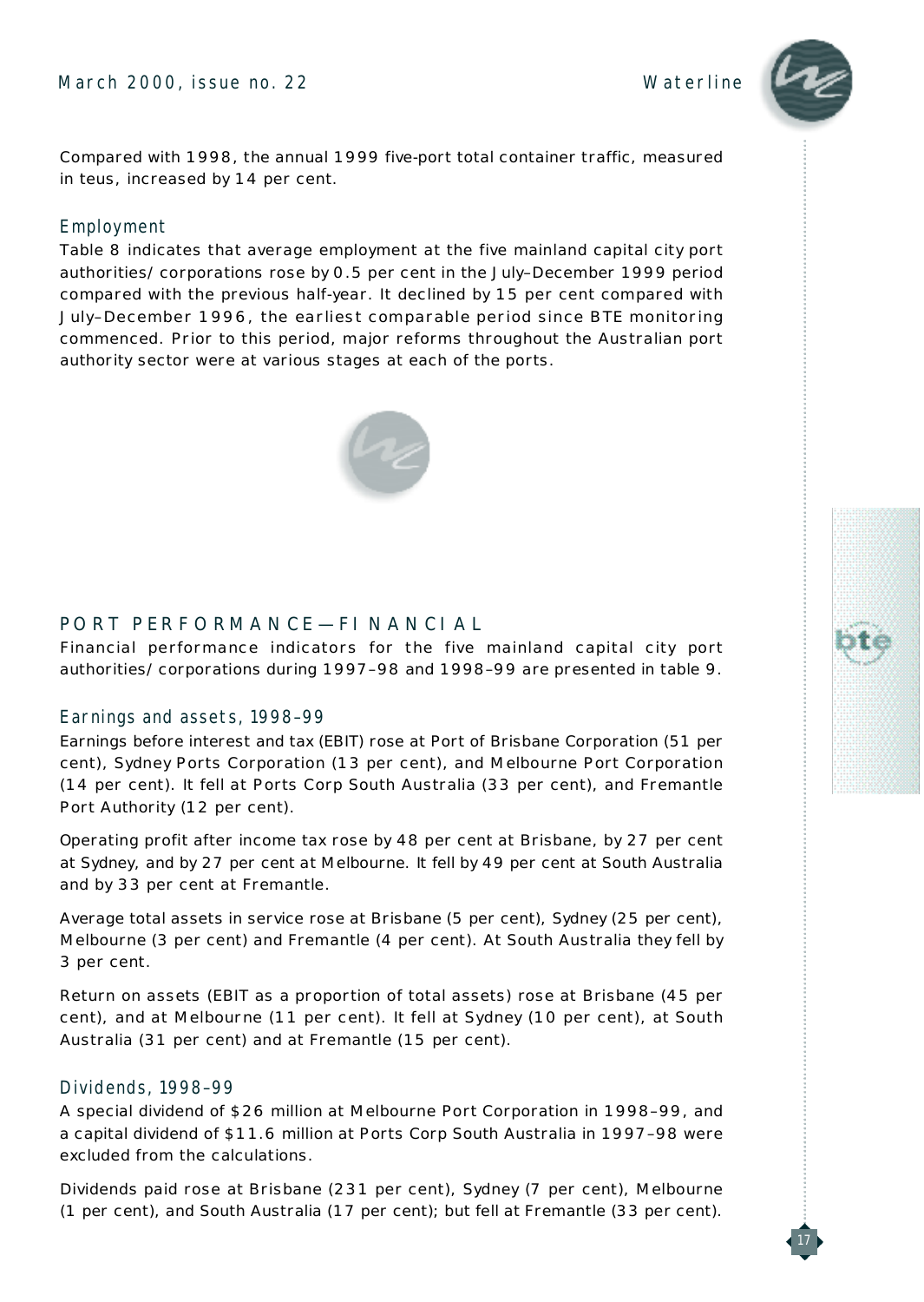March 2000, issue no. 22 Waterline



1 7

Compared with 1998, the annual 1999 five-port total container traffic, measured in teus, increased by 14 per cent.

#### Employment

Table 8 indicates that *average employment* at the five mainland capital city port authorities/corporations rose by 0.5 per cent in the July-December 1999 period compared with the previous half-year. It declined by 15 per cent compared with July-December 1996, the earliest comparable period since BTE monitoring commenced. Prior to this period, major reforms throughout the Australian port authority sector were at various stages at each of the ports .



### PORT PERFORMANCE-FI NANCIAL

Financial performance indicators for the five mainland capital city port authorities/corporations during 1997–98 and 1998–99 are presented in table 9.

#### Earnings and assets, 1998–99

*Earnings before interest and tax* (EBIT) rose at Port of Brisbane Corporation (51 per cent), Sydney Ports Corporation (13 per cent), and Melbourne Port Corporation (14 per cent). It fell at Ports Corp South Australia (33 per cent), and Fremantle Port Authority (12 per cent).

*Operating profit after income tax* rose by 48 per cent at Brisbane, by 27 per cent at Sydney, and by 27 per cent at Melbourne. It fell by 49 per cent at South Australia and by 33 per cent at Fremantle .

*Average total assets* in service rose at Brisbane (5 per cent), Sydney (25 per cent), Melbourne (3 per cent) and Fremantle (4 per cent). At South Australia they fell by 3 per cent .

*Return on assets* (EBIT as a proportion of total assets) rose at Brisbane (45 per cent), and at Melbourne (11 per cent). It fell at Sydney (10 per cent), at South Australia (31 per cent) and at Fremantle (15 per cent).

#### Dividends, 1998–99

A special dividend of \$26 million at Melbourne Port Corporation in 1998–99 , and a capital dividend of \$11.6 million at Ports Corp South Australia in 1997–98 were excluded from the calculations.

*Dividends* paid rose at Brisbane (231 per cent), Sydney (7 per cent), Melbourne ( 1 per cent), and South Australia (17 per cent); but fell at Fremantle (33 per cent).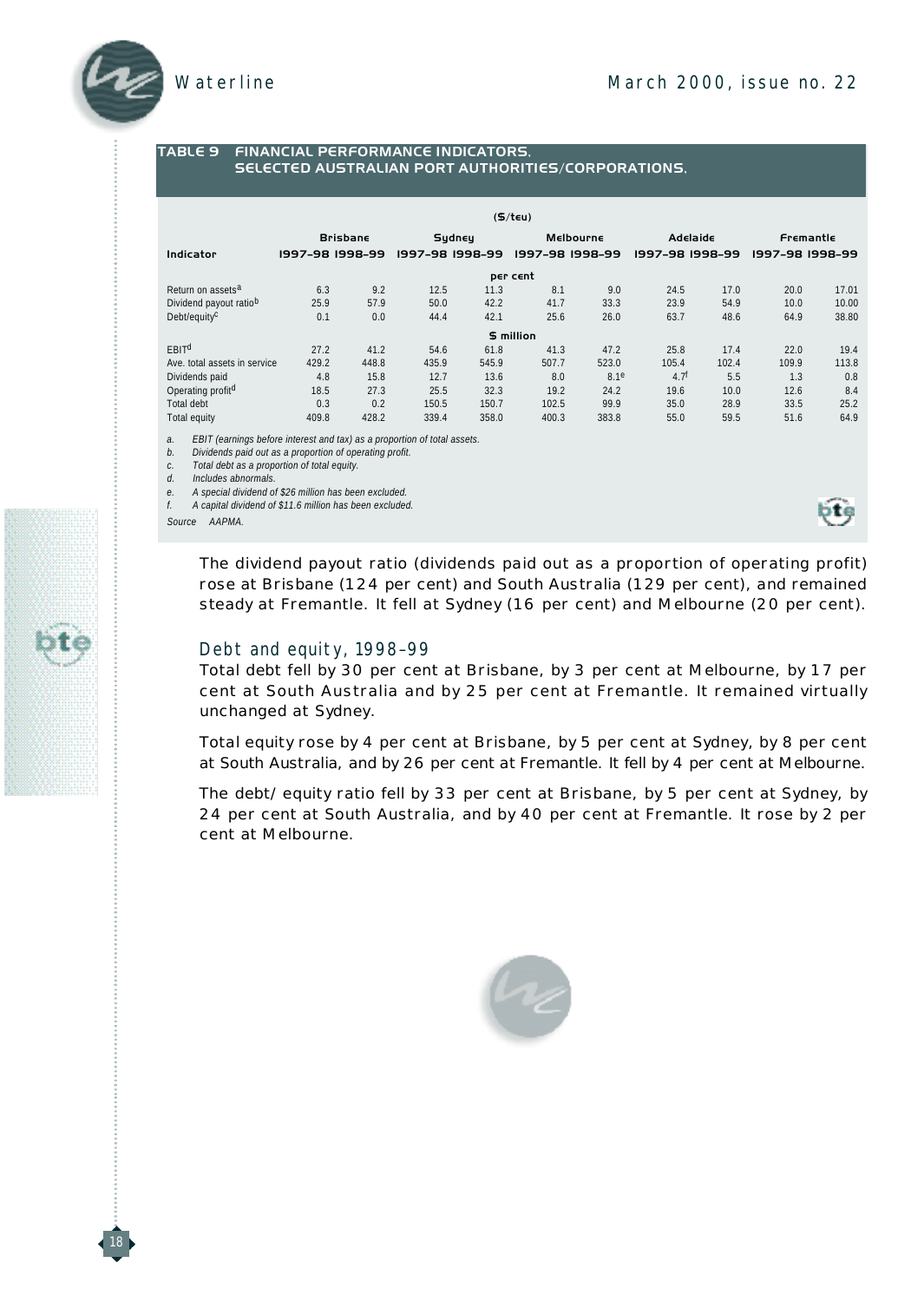#### *TABLE 9 FINANCIAL PERFORMANCE INDICATORS, SELECTED AUSTRALIAN PORT AUTHORITIES/CORPORATIONS,*

|                               | $($ \$/teu)            |          |                 |        |                 |                  |                  |          |                        |       |  |  |  |
|-------------------------------|------------------------|----------|-----------------|--------|-----------------|------------------|------------------|----------|------------------------|-------|--|--|--|
|                               |                        | Brisbane |                 | Sydney |                 | <b>Melbourne</b> |                  | Adelaide | Fremantle              |       |  |  |  |
| Indicator                     | <b>1997-98 1998-99</b> |          | 1997-98 1998-99 |        | 1997-98 1998-99 |                  | 1997-98 1998-99  |          | <b>1997-98 1998-99</b> |       |  |  |  |
| per cent                      |                        |          |                 |        |                 |                  |                  |          |                        |       |  |  |  |
| Return on assets <sup>a</sup> | 6.3                    | 9.2      | 12.5            | 11.3   | 8.1             | 9.0              | 24.5             | 17.0     | 20.0                   | 17.01 |  |  |  |
| Dividend payout ratiob        | 25.9                   | 57.9     | 50.0            | 42.2   | 41.7            | 33.3             | 23.9             | 54.9     | 10.0                   | 10.00 |  |  |  |
| Debt/equity <sup>c</sup>      | 0.1                    | 0.0      | 44.4            | 42.1   | 25.6            | 26.0             | 63.7             | 48.6     | 64.9                   | 38.80 |  |  |  |
|                               |                        |          |                 |        | \$ million      |                  |                  |          |                        |       |  |  |  |
| <b>EBIT<sup>d</sup></b>       | 27.2                   | 41.2     | 54.6            | 61.8   | 41.3            | 47.2             | 25.8             | 17.4     | 22.0                   | 19.4  |  |  |  |
| Ave. total assets in service  | 429.2                  | 448.8    | 435.9           | 545.9  | 507.7           | 523.0            | 105.4            | 102.4    | 109.9                  | 113.8 |  |  |  |
| Dividends paid                | 4.8                    | 15.8     | 12.7            | 13.6   | 8.0             | 8.1 <sup>e</sup> | 4.7 <sup>f</sup> | 5.5      | 1.3                    | 0.8   |  |  |  |
| Operating profit <sup>d</sup> | 18.5                   | 27.3     | 25.5            | 32.3   | 19.2            | 24.2             | 19.6             | 10.0     | 12.6                   | 8.4   |  |  |  |
| <b>Total debt</b>             | 0.3                    | 0.2      | 150.5           | 150.7  | 102.5           | 99.9             | 35.0             | 28.9     | 33.5                   | 25.2  |  |  |  |
| Total equity                  | 409.8                  | 428.2    | 339.4           | 358.0  | 400.3           | 383.8            | 55.0             | 59.5     | 51.6                   | 64.9  |  |  |  |

*a . EBIT (earnings before interest and tax) as a proportion of total assets.*

*b . Dividends paid out as a proportion of operating profit.*

*c . Total debt as a proportion of total equity.*

*d . Includes abnormals.*

*e . A special dividend of \$26 million has been excluded.*

*f . A capital dividend of \$11.6 million has been excluded.*

 $Source$  *AAPMA.* 



The *dividend payout ratio* (dividends paid out as a proportion of operating profit) rose at Brisbane (124 per cent) and South Australia (129 per cent), and remained steady at Fremantle. It fell at Sydney (16 per cent) and Melbourne (20 per cent).

#### Debt and equity, 1998–99

Total debt fell by 30 per cent at Brisbane, by 3 per cent at Melbourne, by 17 per cent at South Australia and by 25 per cent at Fremantle. It remained virtually unchanged at Sydney .

*Total equity* rose by 4 per cent at Brisbane, by 5 per cent at Sydney , by 8 per cent at South Australia, and by 26 per cent at Fremantle. It fell by 4 per cent at Melbourne.

The *debt/equity ratio* fell by 33 per cent at Brisbane, by 5 per cent at Sydney, by 2 4 per cent at South Australia, and by 40 per cent at Fremantle. It rose by 2 per cent at Melbourne.





1 8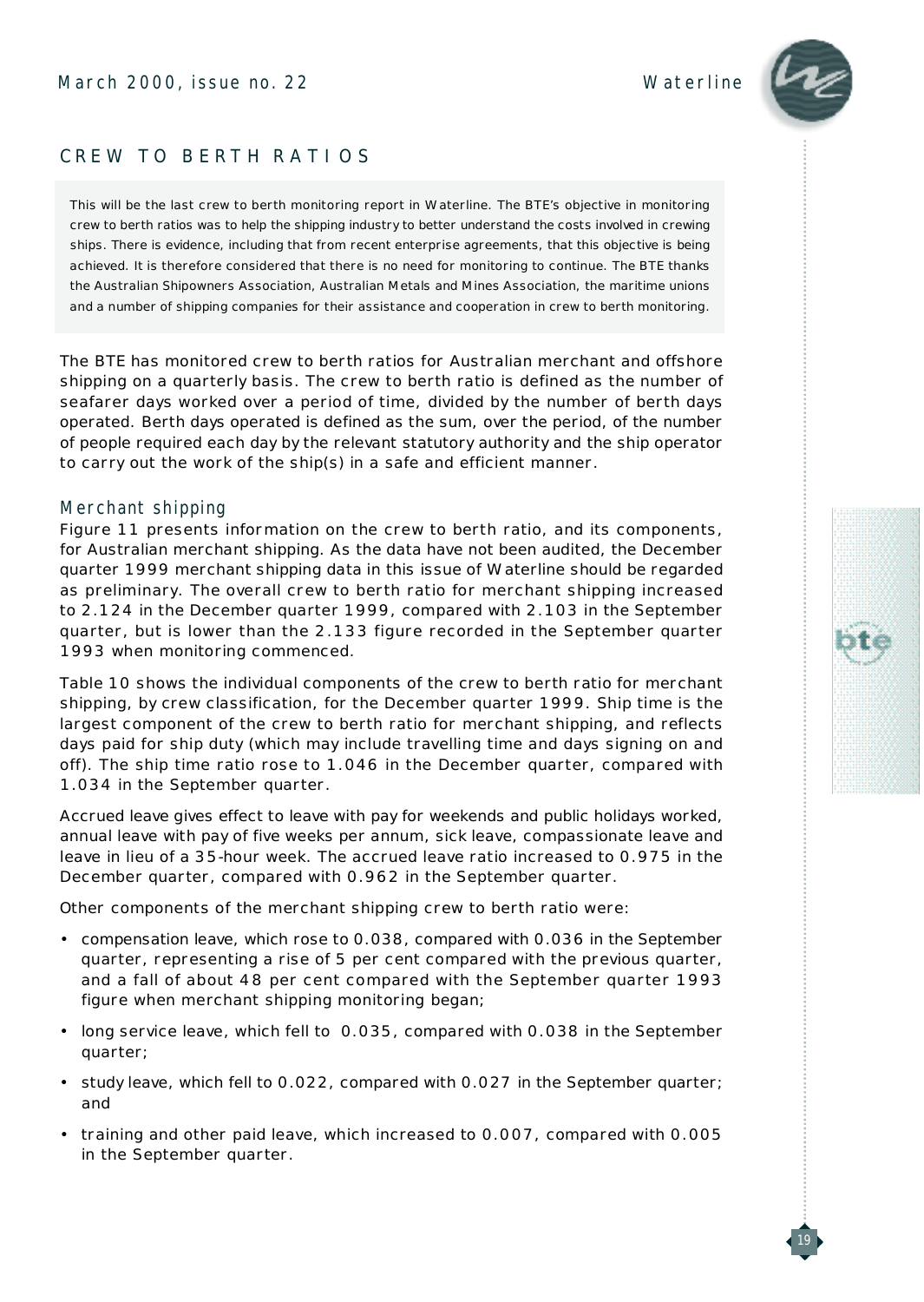#### March 2000, issue no. 22 Waterline



1 9

#### CREW TO BERTH RATIOS

This will be the last crew to berth monitoring report in *Waterline*. The BTE's objective in monitoring crew to berth ratios was to help the shipping industry to better understand the costs involved in crewing ships. There is evidence, including that from recent enterprise agreements, that this objective is being achieved. It is therefore considered that there is no need for monitoring to continue. The BTE thanks the Australian Shipowners Association, Australian Metals and Mines Association, the maritime unions and a number of shipping companies for their assistance and cooperation in crew to berth monitoring .

The BTE has monitored crew to berth ratios for Australian merchant and offshore shipping on a quarterly basis. The crew to berth ratio is defined as the number of seafarer days worked over a period of time, divided by the number of berth days operated. Berth days operated is defined as the sum, over the period, of the number of people required each day by the relevant statutory authority and the ship operator to carry out the work of the ship(s) in a safe and efficient manner.

#### Merchant shipping

Figure 11 presents information on the crew to berth ratio, and its components, for Australian merchant shipping. As the data have not been audited, the December quarter 1999 merchant shipping data in this issue of *Waterline* should be regarded as preliminary. The overall crew to berth ratio for merchant shipping increased to 2.124 in the December quarter 1999, compared with 2.103 in the September quarter, but is lower than the  $2.133$  figure recorded in the September quarter 1993 when monitoring commenced.

Table 10 shows the individual components of the crew to berth ratio for merchant shipping, by crew classification, for the December quarter 1999. Ship time is the largest component of the crew to berth ratio for merchant shipping, and reflects days paid for ship duty (which may include travelling time and days signing on and off). The ship time ratio rose to 1.046 in the December quarter, compared with 1.034 in the September quarter.

Accrued leave gives effect to leave with pay for weekends and public holidays worked, annual leave with pay of five weeks per annum, sick leave, compassionate leave and leave in lieu of a 35-hour week. The accrued leave ratio increased to 0.975 in the December quarter, compared with 0.962 in the September quarter.

Other components of the merchant shipping crew to berth ratio were:

- compensation leave, which rose to 0.038, compared with 0.036 in the September quarter, representing a rise of 5 per cent compared with the previous quarter, and a fall of about 48 per cent compared with the September quarter 1993 figure when merchant shipping monitoring began;
- long service leave, which fell to 0.035, compared with 0.038 in the September quarter;
- study leave, which fell to 0.022, compared with 0.027 in the September quarter; and
- training and other paid leave, which increased to 0.007, compared with 0.005 in the September quarter.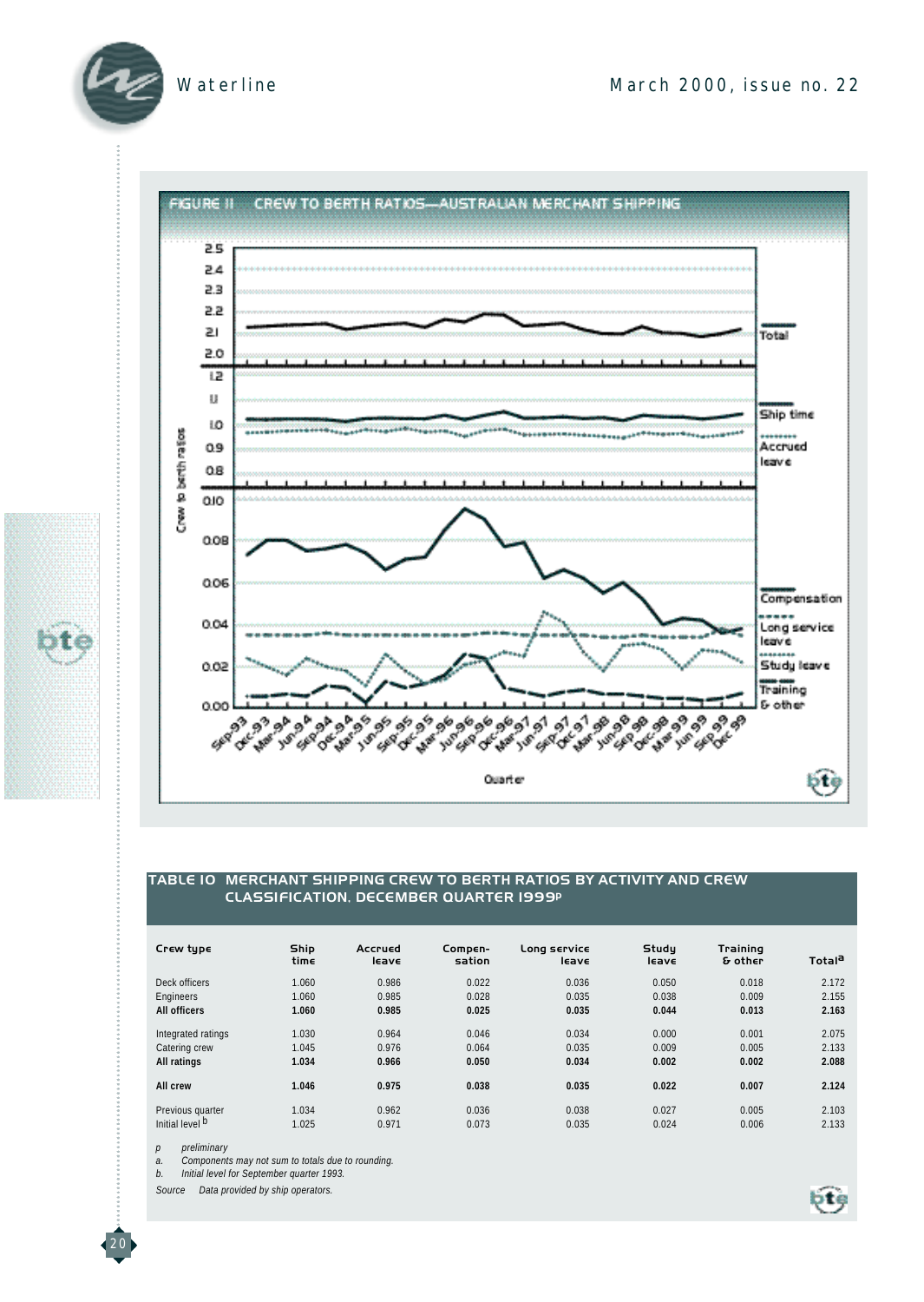bte





#### *TABLE 10 MERCHANT SHIPPING CREW TO BERTH RATIOS BY ACTIVITY AND CREW CLASSIFICATION, DECEMBER QUARTER 1999p*

| Crew type              | <b>Ship</b><br>time | Accrued<br>l∈av∈ | Compen-<br>sation | Long service<br>leave | Study<br>leave | <b>Training</b><br>& other | <b>Total</b> <sup>a</sup> |
|------------------------|---------------------|------------------|-------------------|-----------------------|----------------|----------------------------|---------------------------|
| Deck officers          | 1.060               | 0.986            | 0.022             | 0.036                 | 0.050          | 0.018                      | 2.172                     |
| Engineers              | 1.060               | 0.985            | 0.028             | 0.035                 | 0.038          | 0.009                      | 2.155                     |
| All officers           | 1.060               | 0.985            | 0.025             | 0.035                 | 0.044          | 0.013                      | 2.163                     |
| Integrated ratings     | 1.030               | 0.964            | 0.046             | 0.034                 | 0.000          | 0.001                      | 2.075                     |
| Catering crew          | 1.045               | 0.976            | 0.064             | 0.035                 | 0.009          | 0.005                      | 2.133                     |
| All ratings            | 1.034               | 0.966            | 0.050             | 0.034                 | 0.002          | 0.002                      | 2.088                     |
| All crew               | 1.046               | 0.975            | 0.038             | 0.035                 | 0.022          | 0.007                      | 2.124                     |
| Previous quarter       | 1.034               | 0.962            | 0.036             | 0.038                 | 0.027          | 0.005                      | 2.103                     |
| Initial level <b>b</b> | 1.025               | 0.971            | 0.073             | 0.035                 | 0.024          | 0.006                      | 2.133                     |

*p preliminary* 

**20** 

*a . Components may not sum to totals due to rounding.*

*b . Initial level for September quarter 1993.*

Source Data provided by ship operators.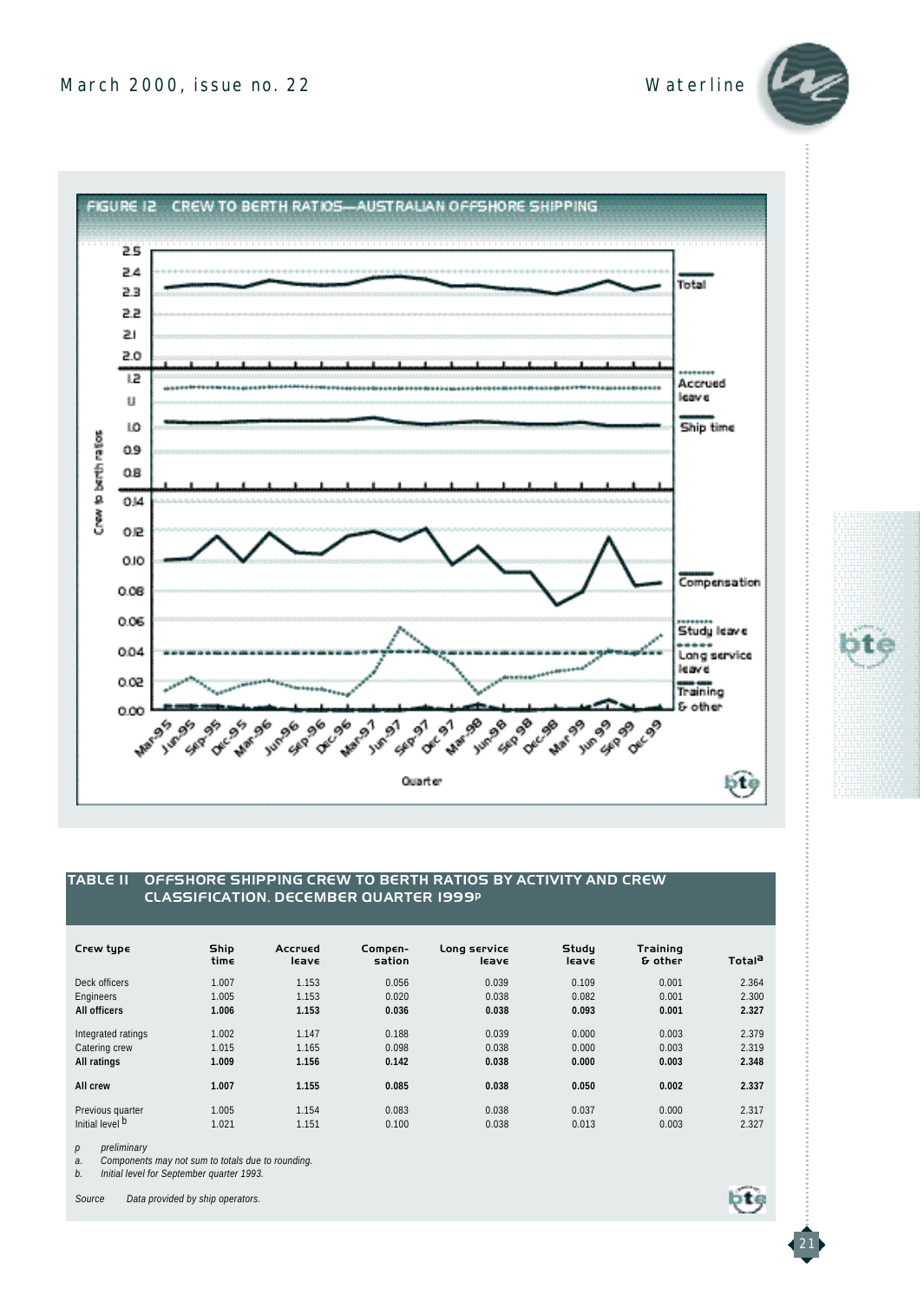2 1

tis



#### *TABLE 11 OFFSHORE SHIPPING CREW TO BERTH RATIOS BY ACTIVITY AND CREW CLASSIFICATION, DECEMBER QUARTER 1999p*

| Crew type              | Ship<br>time | Accrued<br>l∈av∈ | Compen-<br>sation | Long service<br>leave | Study<br>leave | <b>Training</b><br>& other | Total <sup>a</sup> |
|------------------------|--------------|------------------|-------------------|-----------------------|----------------|----------------------------|--------------------|
| Deck officers          | 1.007        | 1.153            | 0.056             | 0.039                 | 0.109          | 0.001                      | 2.364              |
| Engineers              | 1.005        | 1.153            | 0.020             | 0.038                 | 0.082          | 0.001                      | 2.300              |
| All officers           | 1.006        | 1.153            | 0.036             | 0.038                 | 0.093          | 0.001                      | 2.327              |
| Integrated ratings     | 1.002        | 1.147            | 0.188             | 0.039                 | 0.000          | 0.003                      | 2.379              |
| Catering crew          | 1.015        | 1.165            | 0.098             | 0.038                 | 0.000          | 0.003                      | 2.319              |
| All ratings            | 1.009        | 1.156            | 0.142             | 0.038                 | 0.000          | 0.003                      | 2.348              |
| All crew               | 1.007        | 1.155            | 0.085             | 0.038                 | 0.050          | 0.002                      | 2.337              |
| Previous quarter       | 1.005        | 1.154            | 0.083             | 0.038                 | 0.037          | 0.000                      | 2.317              |
| Initial level <b>D</b> | 1.021        | 1.151            | 0.100             | 0.038                 | 0.013          | 0.003                      | 2.327              |

*p preliminary* 

*a . Components may not sum to totals due to rounding.*

*b . Initial level for September quarter 1993.*

Source *Data provided by ship operators.*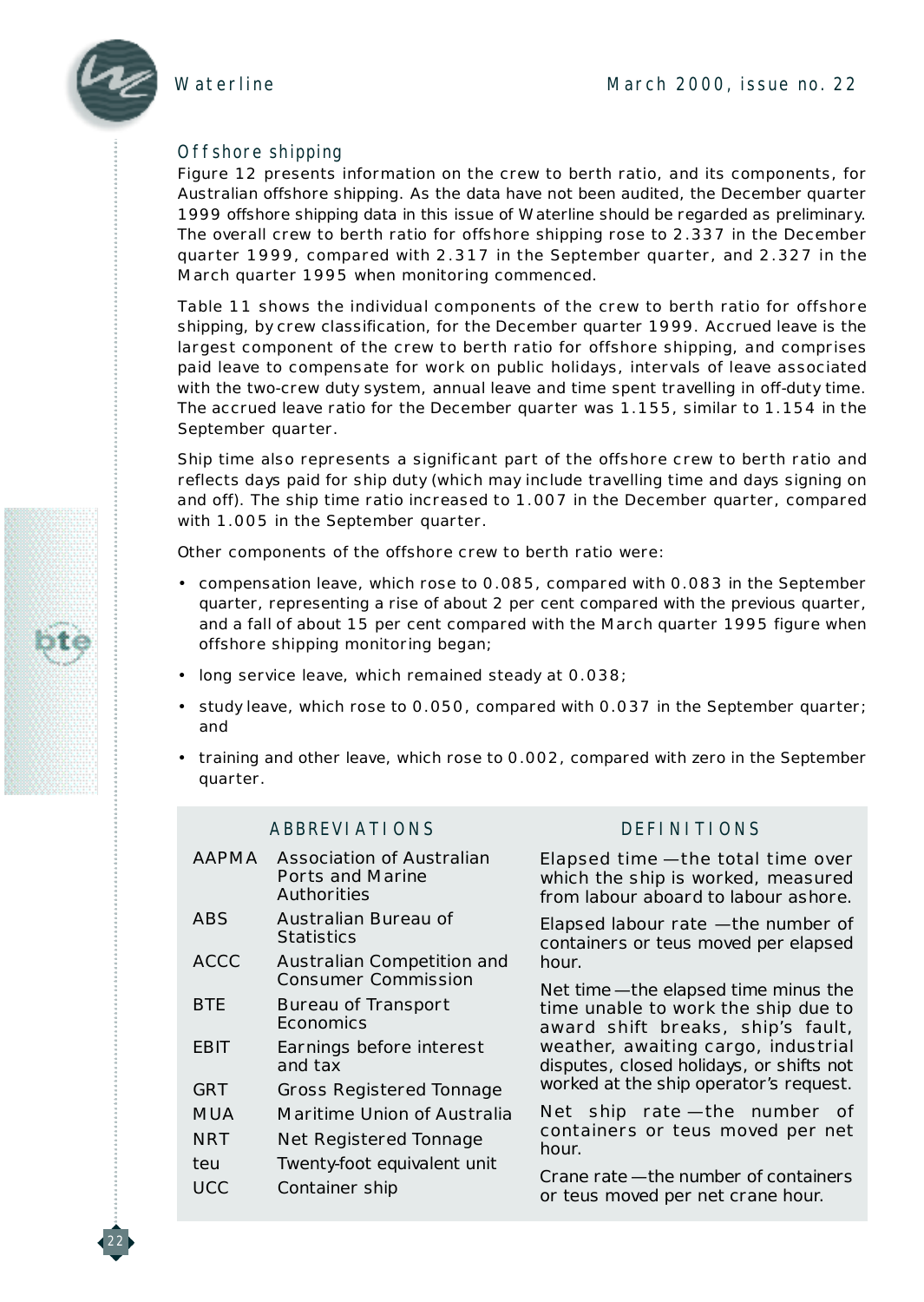

22

#### Offshore shipping

Figure 12 presents information on the crew to berth ratio, and its components, for Australian offshore shipping. As the data have not been audited, the December quarter 1999 offshore shipping data in this issue of *Waterline* should be regarded as preliminary. The overall crew to berth ratio for offshore shipping rose to 2.337 in the December quarter 1999, compared with  $2.317$  in the September quarter, and  $2.327$  in the March quarter 1995 when monitoring commenced.

Table 11 shows the individual components of the crew to berth ratio for offshore shipping, by crew classification, for the December quarter 1999. Accrued leave is the largest component of the crew to berth ratio for offshore shipping, and comprises paid leave to compensate for work on public holidays, intervals of leave associated with the two-crew duty system, annual leave and time spent travelling in off-duty time. The accrued leave ratio for the December quarter was 1.155, similar to 1.154 in the September quarter.

Ship time also represents a significant part of the offshore crew to berth ratio and reflects days paid for ship duty (which may include travelling time and days signing on and off). The ship time ratio increased to 1.007 in the December quarter, compared with 1.005 in the September quarter.

Other components of the offshore crew to berth ratio were:

- compensation leave, which rose to 0.085, compared with 0.083 in the September quarter, representing a rise of about 2 per cent compared with the previous quarter, and a fall of about 15 per cent compared with the March quarter 1995 figure when offshore shipping monitoring began;
- long service leave, which remained steady at 0.038;
- study leave, which rose to 0.050, compared with 0.037 in the September quarter; and
- training and other leave, which rose to 0.002, compared with zero in the September quarter.

#### A B B R E V I A T I ON S

| AAPMA       | Association of Australian<br>Ports and Marine<br>Authorities | Elapsed time<br>which the ship<br>from labour ab |  |  |  |
|-------------|--------------------------------------------------------------|--------------------------------------------------|--|--|--|
| ABS         | Australian Bureau of<br><b>Statistics</b>                    | Elapsed labour<br>containers or t                |  |  |  |
| <b>ACCC</b> | Australian Competition and<br><b>Consumer Commission</b>     | hour.                                            |  |  |  |
| <b>BTE</b>  | Bureau of Transport<br>Economics                             | Net time - the<br>time unable to<br>award shift  |  |  |  |
| <b>EBIT</b> | Earnings before interest<br>and tax                          | weather, awai<br>disputes, close                 |  |  |  |
| GRT         | <b>Gross Registered Tonnage</b>                              | worked at the s                                  |  |  |  |
| MUA         | Maritime Union of Australia                                  | Net ship<br>ra                                   |  |  |  |
| <b>NRT</b>  | Net Registered Tonnage                                       | containers or<br>hour.                           |  |  |  |
| teu         | Twenty-foot equivalent unit                                  |                                                  |  |  |  |
| <b>UCC</b>  | Container ship                                               | Crane rate -- th<br>or teus moved                |  |  |  |
|             |                                                              |                                                  |  |  |  |

#### DEFINITIONS

 $-$ the total time over is worked, measured oard to labour ashore.

rate —the number of eus moved per elapsed

elapsed time minus the o work the ship due to breaks, ship's fault, iting cargo, industrial d holidays, or shifts not ship operator's request.

te —the number of teus moved per net

e number of containers per net crane hour.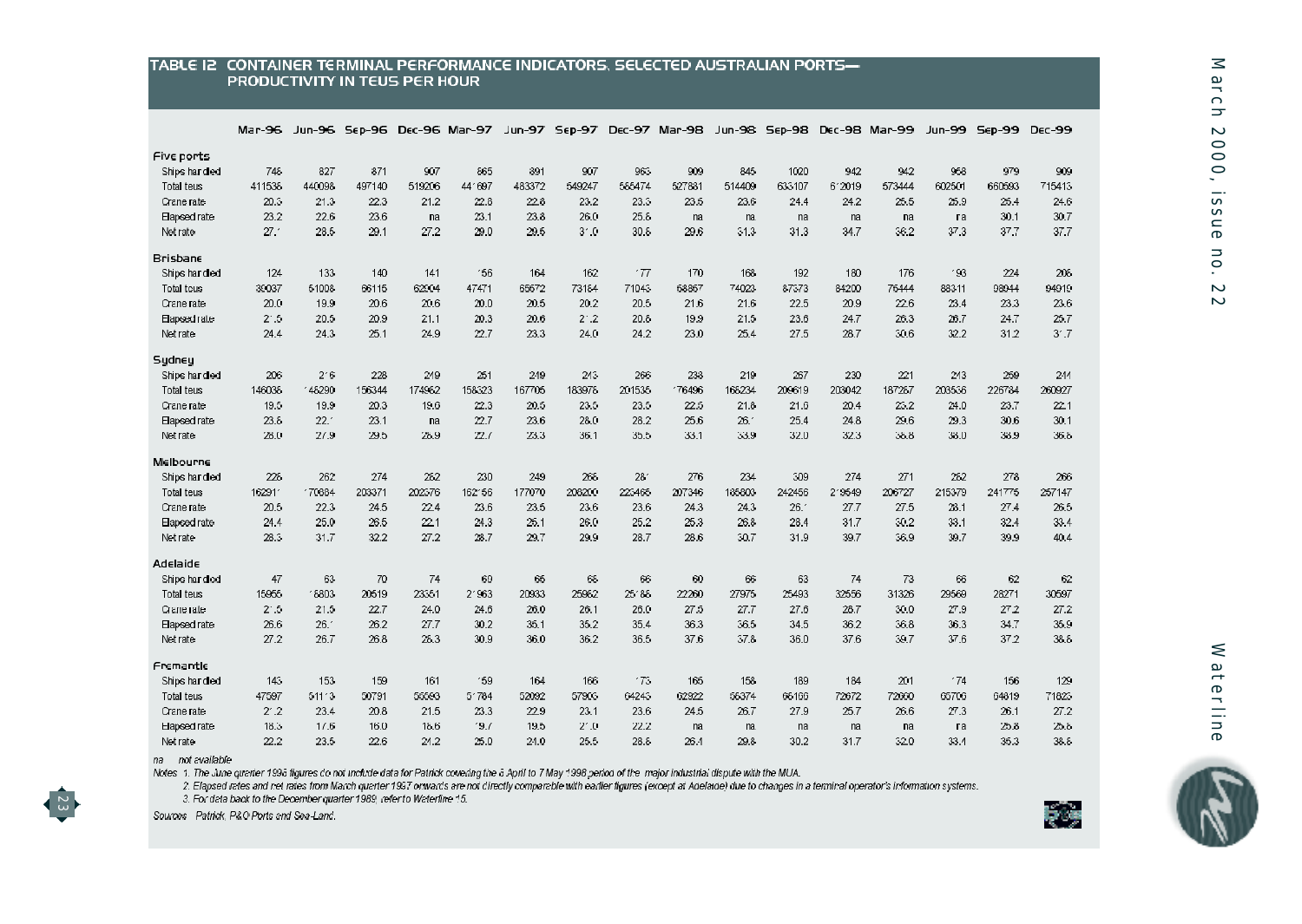# TABLE IZ CONTAINER TERMINAL PERFORMANCE INDICATORS, SELECTED AUSTRALIAN PORTS—<br>PRODUCTIVITY IN TEUS PER HOUR

|               | Mar-96 |        | Jun-96 Sep-96 |        | Dec-96 Mar-97 | Jun-97 | $Sep-97$ |        | Dec-97 Mar-98 |        | Jun-98 Sep-98 |        | Dec-98 Mar-99 | <b>Jun-99</b> | <b>SED-99</b> | <b>Dec-99</b> |
|---------------|--------|--------|---------------|--------|---------------|--------|----------|--------|---------------|--------|---------------|--------|---------------|---------------|---------------|---------------|
| Five ports    |        |        |               |        |               |        |          |        |               |        |               |        |               |               |               |               |
| Ships handled | 748    | 827    | 871           | 907    | 865           | 891    | 907      | 963    | 909           | 845    | 1020          | 942    | 942           | 958           | 979           | 909           |
| Total teus    | 411538 | 440098 | 497140        | 519206 | 441697        | 483372 | 549247   | 585474 | 527881        | 514409 | 633107        | 612019 | 573444        | 602501        | 660593        | 715413        |
| Crane rate    | 20.3   | 21.3   | 22.3          | 21.2   | 22.8          | 22.8   | 23.2     | 23.3   | 23.5          | 23.6   | 24.4          | 24.2   | 25.5          | 25.9          | 25.4          | 24.6          |
| Elapsed rate  | 23.2   | 22.6   | 23.6          | na     | 23.1          | 23.8   | 26.0     | 25.8   | na            | na     | na            | na     | na            | na            | 30.1          | 30.7          |
| Net rate      | 27.1   | 28.5   | 29.1          | 27.2   | 29.0          | 29.5   | 31.0     | 30.8   | 29.6          | 31.3   | 31.3          | 34.7   | 36.2          | 37.3          | 37.7          | 37.7          |
| Brisbane      |        |        |               |        |               |        |          |        |               |        |               |        |               |               |               |               |
| Ships handled | 124    | 133    | 140           | 141    | 156           | 164    | 162      | 177    | 170           | 168    | 192           | 180    | 176           | 193           | 224           | 208           |
| Total teus    | 39037  | 51008  | 66115         | 62904  | 47471         | 65572  | 73184    | 71043  | 58857         | 74023  | 87373         | 84200  | 75444         | 88311         | 98944         | 94919         |
| Crane rate    | 20.0   | 19.9   | 20.6          | 20.6   | 20.0          | 20.5   | 20.2     | 20.5   | 21.6          | 21.6   | 22.5          | 20.9   | 22.6          | 23.4          | 23.3          | 23.6          |
| Elapsed rate  | 21.5   | 20.5   | 20.9          | 21.1   | 20.3          | 20.6   | 21.2     | 20.8   | 19.9          | 21.5   | 23.6          | 24.7   | 26.3          | 26.7          | 24.7          | 25.7          |
| Net rate      | 24.4   | 24.3   | 25.1          | 24.9   | 22.7          | 23.3   | 24.0     | 24.2   | 23.0          | 25.4   | 27.5          | 28.7   | 30.6          | 32.2          | 31.2          | 31.7          |
| Sydney        |        |        |               |        |               |        |          |        |               |        |               |        |               |               |               |               |
| Ships handled | 206    | 216    | 228           | 249    | 251           | 249    | 243      | 266    | 238           | 219    | 267           | 230    | 221           | 243           | 259           | 244           |
| Total teus    | 146038 | 148290 | 156344        | 174982 | 158323        | 167705 | 183978   | 201535 | 176496        | 168234 | 209619        | 203042 | 187287        | 203536        | 226784        | 260927        |
| Crane rate    | 19.5   | 19.9   | 20.3          | 19.6   | 22.3          | 20.5   | 23.5     | 23.5   | 22.5          | 21.8   | 21.6          | 20.4   | 23.2          | 24.0          | 23.7          | 22.1          |
| Elapsed rate  | 23.8   | 22.1   | 23.1          | na     | 22.7          | 23.6   | 28.0     | 28.2   | 25.6          | 26.1   | 25.4          | 24.8   | 29.6          | 29.3          | 30.6          | 30.1          |
| Net rate      | 28.0   | 27.9   | 29.5          | 28.9   | 22.7          | 23.3   | 36.1     | 35.5   | 33.1          | 33.9   | 32.0          | 32.3   | 38.8          | 38.0          | 38.9          | 36.8          |
| Melbourne     |        |        |               |        |               |        |          |        |               |        |               |        |               |               |               |               |
| Ships handled | 228    | 262    | 274           | 282    | 230           | 249    | 268      | 281    | 276           | 234    | 309           | 274    | 271           | 282           | 278           | 266           |
| Total teus    | 162911 | 170884 | 203371        | 202376 | 162156        | 177070 | 208200   | 223465 | 207346        | 185803 | 242456        | 219549 | 206727        | 215379        | 241775        | 257147        |
| Crane rate    | 20.5   | 22.3   | 24.5          | 22.4   | 23.6          | 23.5   | 23.6     | 23.6   | 24.3          | 24.3   | 26.1          | 27.7   | 27.5          | 28.1          | 27.4          | 26.5          |
| Elapsed rate  | 24.4   | 25.0   | 26.5          | 22.1   | 24.3          | 25.1   | 26.0     | 25.2   | 25.3          | 26.8   | 28.4          | 31.7   | 30.2          | 33.1          | 32.4          | 33.4          |
| Net rate      | 28.3   | 31.7   | 32.2          | 27.2   | 28.7          | 29.7   | 29.9     | 28.7   | 28.6          | 30.7   | 31.9          | 39.7   | 36.9          | 39.7          | 39.9          | 40.4          |
| Adelaide      |        |        |               |        |               |        |          |        |               |        |               |        |               |               |               |               |
| Ships handled | 47     | 63     | 70            | 74     | 69            | 65     | 68       | 66     | 60            | 66     | 63            | 74     | 73            | 66            | 62            | 62            |
| Total teus    | 15955  | 18803  | 20519         | 23351  | 21963         | 20933  | 25982    | 25188  | 22260         | 27975  | 25493         | 32556  | 31326         | 29569         | 28271         | 30597         |
| Crane rate    | 21.5   | 21.5   | 22.7          | 24.0   | 24.6          | 26.0   | 26.1     | 26.0   | 27.5          | 27.7   | 27.6          | 28.7   | 30.0          | 27.9          | 27.2          | 27.2          |
| Elapsed rate  | 26.6   | 26.1   | 26.2          | 27.7   | 30.2          | 35.1   | 35.2     | 35.4   | 36.3          | 36.5   | 34.5          | 36.2   | 36.8          | 36.3          | 34.7          | 35.9          |
| Net rate      | 27.2   | 26.7   | 26.8          | 28.3   | 30.9          | 36.0   | 36.2     | 36.5   | 37.6          | 37.8   | 36.0          | 37.6   | 39.7          | 37.6          | 37.2          | 38.8          |
| Fremantle     |        |        |               |        |               |        |          |        |               |        |               |        |               |               |               |               |
| Ships handled | 143    | 153    | 159           | 161    | 159           | 164    | 166      | 173    | 165           | 158    | 189           | 184    | 201           | 174           | 156           | 129           |
| Total teus    | 47597  | 51113  | 50791         | 55593  | 51784         | 52092  | 57903    | 64243  | 62922         | 58374  | 68166         | 72672  | 72660         | 65706         | 64819         | 71823         |
| Crane rate    | 21.2   | 23.4   | 20.8          | 21.5   | 23.3          | 22.9   | 23.1     | 23.6   | 24.5          | 26.7   | 27.9          | 25.7   | 26.6          | 27.3          | 26.1          | 27.2          |
| Elapsed rate  | 18.3   | 17.6   | 16.0          | 18.6   | 19.7          | 19.5   | 21.0     | 22.2   | na            | na     | na            | na     | na            | na            | 25.8          | 25.8          |
| Net rate      | 22.2   | 23.5   | 22.6          | 24.2   | 25.0          | 24.0   | 25.5     | 28.8   | 26.4          | 29.8   | 30.2          | 31.7   | 32.0          | 33.4          | 35.3          | 38.8          |

na not available

Notes 1. The June quarter 1998 figures do not include data for Patrick covering the 8 April to 7 May 1998 period of the major industrial dispute with the MUA.<br>2. Elapsed rates and net rates from March quarter 1997 onwards

3. For data back to the December quarter 1989, refer to Waterline 15.



Sources Patrick, P&O Ports and Sea-Land.